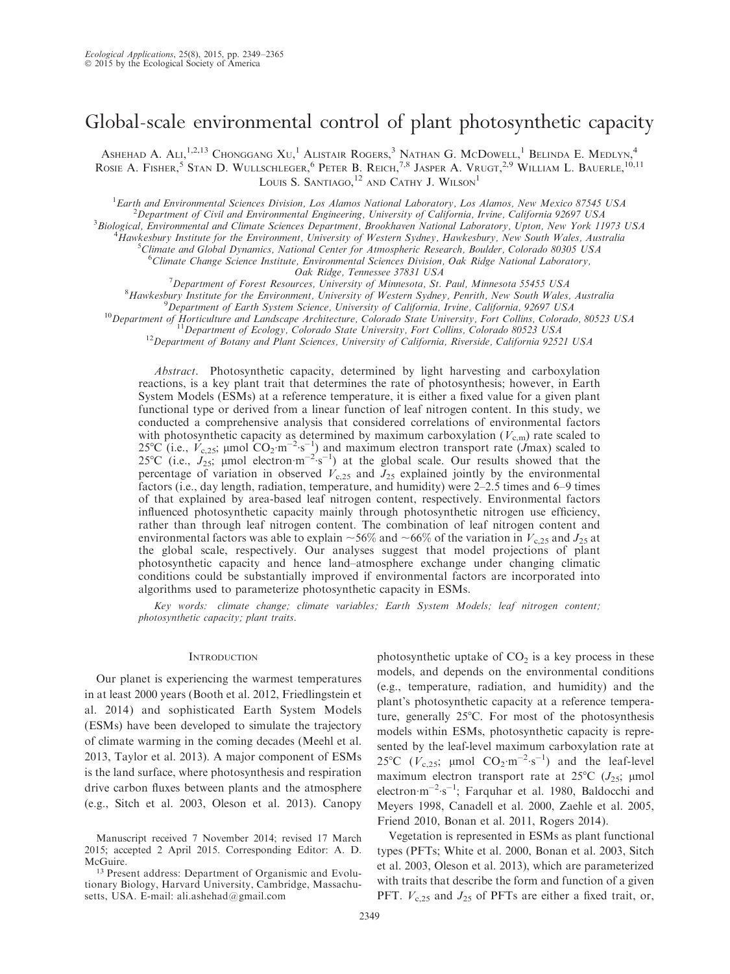# Global-scale environmental control of plant photosynthetic capacity

Ashehad A. Ali,<sup>1,2,13</sup> Chonggang Xu,<sup>1</sup> Alistair Rogers,<sup>3</sup> Nathan G. McDowell,<sup>1</sup> Belinda E. Medlyn,<sup>4</sup> ROSIE A. FISHER,<sup>5</sup> Stan D. WULLSCHLEGER,<sup>6</sup> Peter B. Reich,<sup>7,8</sup> Jasper A. Vrugt,<sup>2,9</sup> William L. Bauerle,<sup>10,11</sup> LOUIS S. SANTIAGO,<sup>12</sup> AND CATHY J. WILSON<sup>1</sup>

<sup>1</sup> Earth and Environmental Sciences Division, Los Alamos National Laboratory, Los Alamos, New Mexico 87545 USA  $\frac{2}{3}$  Department of Civil and Environmental Engineering. University of California, Invine, California 026  $^2$ Department of Civil and Environmental Engineering, University of California, Irvine, California 92697 USA

<sup>3</sup> Biological, Environmental and Climate Sciences Department, Brookhaven National Laboratory, Upton, New York 11973 USA

<sup>4</sup>Hawkesbury Institute for the Environment, University of Western Sydney, Hawkesbury, New South Wales, Australia

 $^5$ Climate and Global Dynamics, National Center for Atmospheric Research, Boulder, Colorado 80305 USA

<sup>6</sup>Climate Change Science Institute, Environmental Sciences Division, Oak Ridge National Laboratory,

Oak Ridge, Tennessee 37831 USA<br><sup>7</sup> Department of Forest Resources, University of Minnesota, St. Department of Forest Resources, University of Minnesota, St. Paul, Minnesota 55455 USA<br><sup>8</sup> Hawkesbury Institute for the Environment University of Western Sydney, Penrith, New South Wales

 ${}^{8}$ Hawkesbury Institute for the Environment, University of Western Sydney, Penrith, New South Wales, Australia  ${}^{9}$ Department of Earth System Science, University of California, Irvine, California, 92697 USA

<sup>10</sup>Department of Horticulture and Landscape Architecture, Colorado State University, Fort Collins, Colorado, 80523 USA<br><sup>11</sup>Department of Ecology, Colorado State University, Fort Collins, Colorado 80523 USA<br><sup>12</sup>Department

Abstract. Photosynthetic capacity, determined by light harvesting and carboxylation reactions, is a key plant trait that determines the rate of photosynthesis; however, in Earth System Models (ESMs) at a reference temperature, it is either a fixed value for a given plant functional type or derived from a linear function of leaf nitrogen content. In this study, we conducted a comprehensive analysis that considered correlations of environmental factors with photosynthetic capacity as determined by maximum carboxylation  $(V_{c,m})$  rate scaled to 25°C (i.e.,  $\vec{V}_{c,25}$ ; µmol  $CO_2$ ·m<sup>-2</sup>·s<sup>-1</sup>) and maximum electron transport rate (Jmax) scaled to 25°C (i.e.,  $J_{25}$ ; µmol electron $-m^{-2}$ s<sup>-1</sup>) at the global scale. Our results showed that the percentage of variation in observed  $V_{c,25}$  and  $J_{25}$  explained jointly by the environmental factors (i.e., day length, radiation, temperature, and humidity) were 2–2.5 times and 6–9 times of that explained by area-based leaf nitrogen content, respectively. Environmental factors influenced photosynthetic capacity mainly through photosynthetic nitrogen use efficiency, rather than through leaf nitrogen content. The combination of leaf nitrogen content and environmental factors was able to explain  $\sim 56\%$  and  $\sim 66\%$  of the variation in  $V_{c,25}$  and  $J_{25}$  at the global scale, respectively. Our analyses suggest that model projections of plant photosynthetic capacity and hence land–atmosphere exchange under changing climatic conditions could be substantially improved if environmental factors are incorporated into algorithms used to parameterize photosynthetic capacity in ESMs.

Key words: climate change; climate variables; Earth System Models; leaf nitrogen content; photosynthetic capacity; plant traits.

#### **INTRODUCTION**

Our planet is experiencing the warmest temperatures in at least 2000 years (Booth et al. 2012, Friedlingstein et al. 2014) and sophisticated Earth System Models (ESMs) have been developed to simulate the trajectory of climate warming in the coming decades (Meehl et al. 2013, Taylor et al. 2013). A major component of ESMs is the land surface, where photosynthesis and respiration drive carbon fluxes between plants and the atmosphere (e.g., Sitch et al. 2003, Oleson et al. 2013). Canopy

photosynthetic uptake of  $CO<sub>2</sub>$  is a key process in these models, and depends on the environmental conditions (e.g., temperature, radiation, and humidity) and the plant's photosynthetic capacity at a reference temperature, generally  $25^{\circ}$ C. For most of the photosynthesis models within ESMs, photosynthetic capacity is represented by the leaf-level maximum carboxylation rate at 25°C ( $V_{c,25}$ ; µmol  $CO_2 \cdot m^{-2} \cdot s^{-1}$ ) and the leaf-level maximum electron transport rate at  $25^{\circ}C$  ( $J_{25}$ ; µmol electron $\cdot$ m<sup>-2</sup> $\cdot$ s<sup>-1</sup>; Farquhar et al. 1980, Baldocchi and Meyers 1998, Canadell et al. 2000, Zaehle et al. 2005, Friend 2010, Bonan et al. 2011, Rogers 2014).

Vegetation is represented in ESMs as plant functional types (PFTs; White et al. 2000, Bonan et al. 2003, Sitch et al. 2003, Oleson et al. 2013), which are parameterized with traits that describe the form and function of a given PFT.  $V_{c,25}$  and  $J_{25}$  of PFTs are either a fixed trait, or,

Manuscript received 7 November 2014; revised 17 March 2015; accepted 2 April 2015. Corresponding Editor: A. D. McGuire.

<sup>13</sup> Present address: Department of Organismic and Evolutionary Biology, Harvard University, Cambridge, Massachusetts, USA. E-mail: ali.ashehad@gmail.com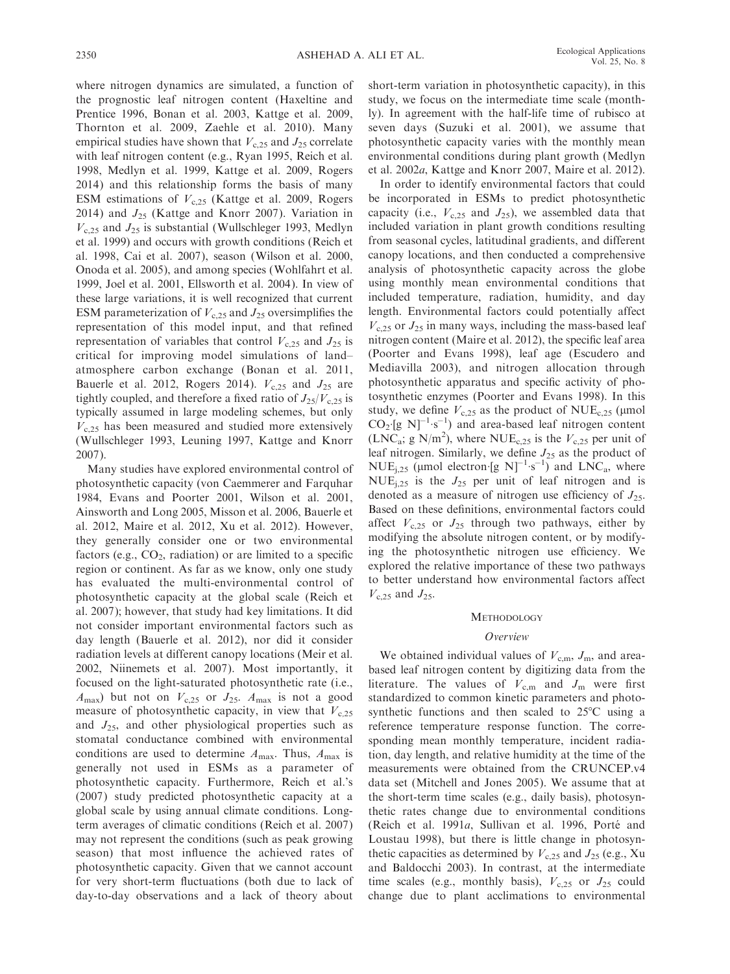where nitrogen dynamics are simulated, a function of the prognostic leaf nitrogen content (Haxeltine and Prentice 1996, Bonan et al. 2003, Kattge et al. 2009, Thornton et al. 2009, Zaehle et al. 2010). Many empirical studies have shown that  $V_{c,25}$  and  $J_{25}$  correlate with leaf nitrogen content (e.g., Ryan 1995, Reich et al. 1998, Medlyn et al. 1999, Kattge et al. 2009, Rogers 2014) and this relationship forms the basis of many ESM estimations of  $V<sub>c.25</sub>$  (Kattge et al. 2009, Rogers 2014) and  $J_{25}$  (Kattge and Knorr 2007). Variation in  $V<sub>c,25</sub>$  and  $J<sub>25</sub>$  is substantial (Wullschleger 1993, Medlyn et al. 1999) and occurs with growth conditions (Reich et al. 1998, Cai et al. 2007), season (Wilson et al. 2000, Onoda et al. 2005), and among species (Wohlfahrt et al. 1999, Joel et al. 2001, Ellsworth et al. 2004). In view of these large variations, it is well recognized that current ESM parameterization of  $V_{c,25}$  and  $J_{25}$  oversimplifies the representation of this model input, and that refined representation of variables that control  $V_{c,25}$  and  $J_{25}$  is critical for improving model simulations of land– atmosphere carbon exchange (Bonan et al. 2011, Bauerle et al. 2012, Rogers 2014).  $V_{c,25}$  and  $J_{25}$  are tightly coupled, and therefore a fixed ratio of  $J_{25}/V_{c,25}$  is typically assumed in large modeling schemes, but only  $V<sub>c,25</sub>$  has been measured and studied more extensively (Wullschleger 1993, Leuning 1997, Kattge and Knorr 2007).

Many studies have explored environmental control of photosynthetic capacity (von Caemmerer and Farquhar 1984, Evans and Poorter 2001, Wilson et al. 2001, Ainsworth and Long 2005, Misson et al. 2006, Bauerle et al. 2012, Maire et al. 2012, Xu et al. 2012). However, they generally consider one or two environmental factors (e.g.,  $CO<sub>2</sub>$ , radiation) or are limited to a specific region or continent. As far as we know, only one study has evaluated the multi-environmental control of photosynthetic capacity at the global scale (Reich et al. 2007); however, that study had key limitations. It did not consider important environmental factors such as day length (Bauerle et al. 2012), nor did it consider radiation levels at different canopy locations (Meir et al. 2002, Niinemets et al. 2007). Most importantly, it focused on the light-saturated photosynthetic rate (i.e.,  $A_{\text{max}}$ ) but not on  $V_{c,25}$  or  $J_{25}$ .  $A_{\text{max}}$  is not a good measure of photosynthetic capacity, in view that  $V_{c,25}$ and  $J_{25}$ , and other physiological properties such as stomatal conductance combined with environmental conditions are used to determine  $A_{\text{max}}$ . Thus,  $A_{\text{max}}$  is generally not used in ESMs as a parameter of photosynthetic capacity. Furthermore, Reich et al.'s (2007) study predicted photosynthetic capacity at a global scale by using annual climate conditions. Longterm averages of climatic conditions (Reich et al. 2007) may not represent the conditions (such as peak growing season) that most influence the achieved rates of photosynthetic capacity. Given that we cannot account for very short-term fluctuations (both due to lack of day-to-day observations and a lack of theory about short-term variation in photosynthetic capacity), in this study, we focus on the intermediate time scale (monthly). In agreement with the half-life time of rubisco at seven days (Suzuki et al. 2001), we assume that photosynthetic capacity varies with the monthly mean environmental conditions during plant growth (Medlyn et al. 2002a, Kattge and Knorr 2007, Maire et al. 2012).

In order to identify environmental factors that could be incorporated in ESMs to predict photosynthetic capacity (i.e.,  $V_{c,25}$  and  $J_{25}$ ), we assembled data that included variation in plant growth conditions resulting from seasonal cycles, latitudinal gradients, and different canopy locations, and then conducted a comprehensive analysis of photosynthetic capacity across the globe using monthly mean environmental conditions that included temperature, radiation, humidity, and day length. Environmental factors could potentially affect  $V<sub>c,25</sub>$  or  $J<sub>25</sub>$  in many ways, including the mass-based leaf nitrogen content (Maire et al. 2012), the specific leaf area (Poorter and Evans 1998), leaf age (Escudero and Mediavilla 2003), and nitrogen allocation through photosynthetic apparatus and specific activity of photosynthetic enzymes (Poorter and Evans 1998). In this study, we define  $V_{c,25}$  as the product of NUE<sub>c,25</sub> (µmol  $CO_2$  [g N]<sup>-1</sup> s<sup>-1</sup>) and area-based leaf nitrogen content  $(LNC_a; g N/m^2)$ , where NUE<sub>c,25</sub> is the  $V_{c,25}$  per unit of leaf nitrogen. Similarly, we define  $J_{25}$  as the product of  $NUE_{j,25}$  (µmol electron [g N]<sup>-1</sup>·s<sup>-1</sup>) and LNC<sub>a</sub>, where NUE<sub>i,25</sub> is the  $J_{25}$  per unit of leaf nitrogen and is denoted as a measure of nitrogen use efficiency of  $J_{25}$ . Based on these definitions, environmental factors could affect  $V_{c,25}$  or  $J_{25}$  through two pathways, either by modifying the absolute nitrogen content, or by modifying the photosynthetic nitrogen use efficiency. We explored the relative importance of these two pathways to better understand how environmental factors affect  $V_{c,25}$  and  $J_{25}$ .

#### **METHODOLOGY**

#### Overview

We obtained individual values of  $V_{c,m}$ ,  $J_m$ , and areabased leaf nitrogen content by digitizing data from the literature. The values of  $V_{\text{c.m}}$  and  $J_{\text{m}}$  were first standardized to common kinetic parameters and photosynthetic functions and then scaled to  $25^{\circ}$ C using a reference temperature response function. The corresponding mean monthly temperature, incident radiation, day length, and relative humidity at the time of the measurements were obtained from the CRUNCEP.v4 data set (Mitchell and Jones 2005). We assume that at the short-term time scales (e.g., daily basis), photosynthetic rates change due to environmental conditions (Reich et al. 1991a, Sullivan et al. 1996, Porté and Loustau 1998), but there is little change in photosynthetic capacities as determined by  $V_{c,25}$  and  $J_{25}$  (e.g., Xu and Baldocchi 2003). In contrast, at the intermediate time scales (e.g., monthly basis),  $V_{c,25}$  or  $J_{25}$  could change due to plant acclimations to environmental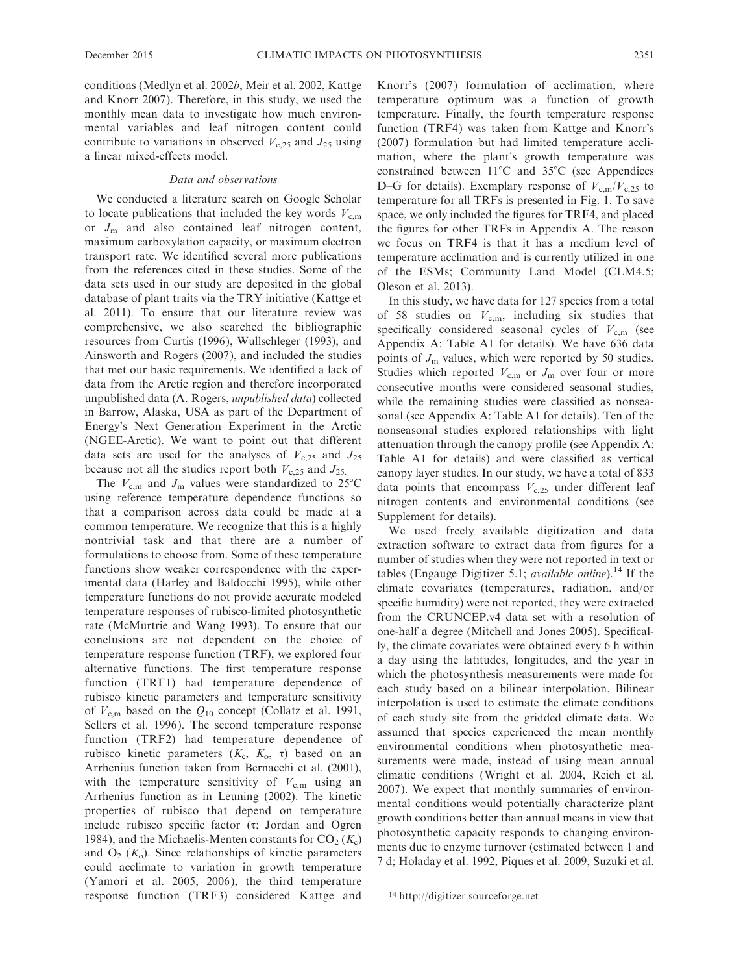conditions (Medlyn et al. 2002b, Meir et al. 2002, Kattge and Knorr 2007). Therefore, in this study, we used the monthly mean data to investigate how much environmental variables and leaf nitrogen content could contribute to variations in observed  $V<sub>c</sub>$ <sub>25</sub> and  $J<sub>25</sub>$  using a linear mixed-effects model.

#### Data and observations

We conducted a literature search on Google Scholar to locate publications that included the key words  $V_{c,m}$ or  $J_{\rm m}$  and also contained leaf nitrogen content, maximum carboxylation capacity, or maximum electron transport rate. We identified several more publications from the references cited in these studies. Some of the data sets used in our study are deposited in the global database of plant traits via the TRY initiative (Kattge et al. 2011). To ensure that our literature review was comprehensive, we also searched the bibliographic resources from Curtis (1996), Wullschleger (1993), and Ainsworth and Rogers (2007), and included the studies that met our basic requirements. We identified a lack of data from the Arctic region and therefore incorporated unpublished data (A. Rogers, unpublished data) collected in Barrow, Alaska, USA as part of the Department of Energy's Next Generation Experiment in the Arctic (NGEE-Arctic). We want to point out that different data sets are used for the analyses of  $V_{c,25}$  and  $J_{25}$ because not all the studies report both  $V_{c,25}$  and  $J_{25}$ .

The  $V_{\text{c.m}}$  and  $J_{\text{m}}$  values were standardized to 25°C using reference temperature dependence functions so that a comparison across data could be made at a common temperature. We recognize that this is a highly nontrivial task and that there are a number of formulations to choose from. Some of these temperature functions show weaker correspondence with the experimental data (Harley and Baldocchi 1995), while other temperature functions do not provide accurate modeled temperature responses of rubisco-limited photosynthetic rate (McMurtrie and Wang 1993). To ensure that our conclusions are not dependent on the choice of temperature response function (TRF), we explored four alternative functions. The first temperature response function (TRF1) had temperature dependence of rubisco kinetic parameters and temperature sensitivity of  $V_{\rm c,m}$  based on the  $Q_{10}$  concept (Collatz et al. 1991, Sellers et al. 1996). The second temperature response function (TRF2) had temperature dependence of rubisco kinetic parameters  $(K_c, K_o, \tau)$  based on an Arrhenius function taken from Bernacchi et al. (2001), with the temperature sensitivity of  $V_{c,m}$  using an Arrhenius function as in Leuning (2002). The kinetic properties of rubisco that depend on temperature include rubisco specific factor  $(\tau; \text{ Jordan and Ogren})$ 1984), and the Michaelis-Menten constants for  $CO_2(K_c)$ and  $O_2(K_0)$ . Since relationships of kinetic parameters could acclimate to variation in growth temperature (Yamori et al. 2005, 2006), the third temperature response function (TRF3) considered Kattge and Knorr's (2007) formulation of acclimation, where temperature optimum was a function of growth temperature. Finally, the fourth temperature response function (TRF4) was taken from Kattge and Knorr's (2007) formulation but had limited temperature acclimation, where the plant's growth temperature was constrained between  $11^{\circ}$ C and  $35^{\circ}$ C (see Appendices D–G for details). Exemplary response of  $V_{c,m}/V_{c,25}$  to temperature for all TRFs is presented in Fig. 1. To save space, we only included the figures for TRF4, and placed the figures for other TRFs in Appendix A. The reason we focus on TRF4 is that it has a medium level of temperature acclimation and is currently utilized in one of the ESMs; Community Land Model (CLM4.5; Oleson et al. 2013).

In this study, we have data for 127 species from a total of 58 studies on  $V_{c,m}$ , including six studies that specifically considered seasonal cycles of  $V_{\text{c.m}}$  (see Appendix A: Table A1 for details). We have 636 data points of  $J<sub>m</sub>$  values, which were reported by 50 studies. Studies which reported  $V_{c,m}$  or  $J_m$  over four or more consecutive months were considered seasonal studies, while the remaining studies were classified as nonseasonal (see Appendix A: Table A1 for details). Ten of the nonseasonal studies explored relationships with light attenuation through the canopy profile (see Appendix A: Table A1 for details) and were classified as vertical canopy layer studies. In our study, we have a total of 833 data points that encompass  $V<sub>c,25</sub>$  under different leaf nitrogen contents and environmental conditions (see Supplement for details).

We used freely available digitization and data extraction software to extract data from figures for a number of studies when they were not reported in text or tables (Engauge Digitizer 5.1; *available online*).<sup>14</sup> If the climate covariates (temperatures, radiation, and/or specific humidity) were not reported, they were extracted from the CRUNCEP.v4 data set with a resolution of one-half a degree (Mitchell and Jones 2005). Specifically, the climate covariates were obtained every 6 h within a day using the latitudes, longitudes, and the year in which the photosynthesis measurements were made for each study based on a bilinear interpolation. Bilinear interpolation is used to estimate the climate conditions of each study site from the gridded climate data. We assumed that species experienced the mean monthly environmental conditions when photosynthetic measurements were made, instead of using mean annual climatic conditions (Wright et al. 2004, Reich et al. 2007). We expect that monthly summaries of environmental conditions would potentially characterize plant growth conditions better than annual means in view that photosynthetic capacity responds to changing environments due to enzyme turnover (estimated between 1 and 7 d; Holaday et al. 1992, Piques et al. 2009, Suzuki et al.

<sup>14</sup> http://digitizer.sourceforge.net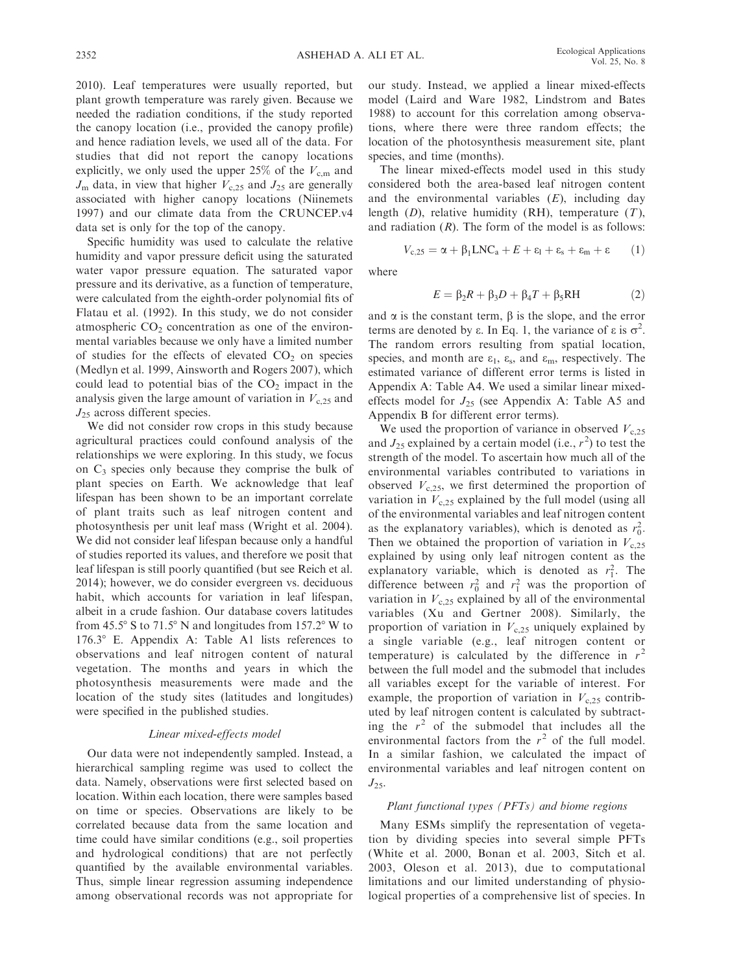2010). Leaf temperatures were usually reported, but plant growth temperature was rarely given. Because we needed the radiation conditions, if the study reported the canopy location (i.e., provided the canopy profile) and hence radiation levels, we used all of the data. For studies that did not report the canopy locations explicitly, we only used the upper 25% of the  $V_{c,m}$  and  $J_{\rm m}$  data, in view that higher  $V_{\rm c,25}$  and  $J_{25}$  are generally associated with higher canopy locations (Niinemets 1997) and our climate data from the CRUNCEP.v4 data set is only for the top of the canopy.

Specific humidity was used to calculate the relative humidity and vapor pressure deficit using the saturated water vapor pressure equation. The saturated vapor pressure and its derivative, as a function of temperature, were calculated from the eighth-order polynomial fits of Flatau et al. (1992). In this study, we do not consider atmospheric  $CO<sub>2</sub>$  concentration as one of the environmental variables because we only have a limited number of studies for the effects of elevated  $CO<sub>2</sub>$  on species (Medlyn et al. 1999, Ainsworth and Rogers 2007), which could lead to potential bias of the  $CO<sub>2</sub>$  impact in the analysis given the large amount of variation in  $V<sub>c.25</sub>$  and  $J_{25}$  across different species.

We did not consider row crops in this study because agricultural practices could confound analysis of the relationships we were exploring. In this study, we focus on  $C_3$  species only because they comprise the bulk of plant species on Earth. We acknowledge that leaf lifespan has been shown to be an important correlate of plant traits such as leaf nitrogen content and photosynthesis per unit leaf mass (Wright et al. 2004). We did not consider leaf lifespan because only a handful of studies reported its values, and therefore we posit that leaf lifespan is still poorly quantified (but see Reich et al. 2014); however, we do consider evergreen vs. deciduous habit, which accounts for variation in leaf lifespan, albeit in a crude fashion. Our database covers latitudes from  $45.5^{\circ}$  S to  $71.5^{\circ}$  N and longitudes from  $157.2^{\circ}$  W to  $176.3^{\circ}$  E. Appendix A: Table A1 lists references to observations and leaf nitrogen content of natural vegetation. The months and years in which the photosynthesis measurements were made and the location of the study sites (latitudes and longitudes) were specified in the published studies.

## Linear mixed-effects model

Our data were not independently sampled. Instead, a hierarchical sampling regime was used to collect the data. Namely, observations were first selected based on location. Within each location, there were samples based on time or species. Observations are likely to be correlated because data from the same location and time could have similar conditions (e.g., soil properties and hydrological conditions) that are not perfectly quantified by the available environmental variables. Thus, simple linear regression assuming independence among observational records was not appropriate for our study. Instead, we applied a linear mixed-effects model (Laird and Ware 1982, Lindstrom and Bates 1988) to account for this correlation among observations, where there were three random effects; the location of the photosynthesis measurement site, plant species, and time (months).

The linear mixed-effects model used in this study considered both the area-based leaf nitrogen content and the environmental variables  $(E)$ , including day length  $(D)$ , relative humidity  $(RH)$ , temperature  $(T)$ , and radiation  $(R)$ . The form of the model is as follows:

$$
V_{c,25} = \alpha + \beta_1 LNC_a + E + \epsilon_1 + \epsilon_s + \epsilon_m + \epsilon \qquad (1)
$$

where

$$
E = \beta_2 R + \beta_3 D + \beta_4 T + \beta_5 R H \tag{2}
$$

and  $\alpha$  is the constant term,  $\beta$  is the slope, and the error terms are denoted by  $\varepsilon$ . In Eq. 1, the variance of  $\varepsilon$  is  $\sigma^2$ . The random errors resulting from spatial location, species, and month are  $\varepsilon_1$ ,  $\varepsilon_s$ , and  $\varepsilon_m$ , respectively. The estimated variance of different error terms is listed in Appendix A: Table A4. We used a similar linear mixedeffects model for  $J_{25}$  (see Appendix A: Table A5 and Appendix B for different error terms).

We used the proportion of variance in observed  $V<sub>c,25</sub>$ and  $J_{25}$  explained by a certain model (i.e.,  $r^2$ ) to test the strength of the model. To ascertain how much all of the environmental variables contributed to variations in observed  $V_{c,25}$ , we first determined the proportion of variation in  $V<sub>c,25</sub>$  explained by the full model (using all of the environmental variables and leaf nitrogen content as the explanatory variables), which is denoted as  $r_0^2$ . Then we obtained the proportion of variation in  $V<sub>c,25</sub>$ explained by using only leaf nitrogen content as the explanatory variable, which is denoted as  $r_1^2$ . The difference between  $r_0^2$  and  $r_1^2$  was the proportion of variation in  $V<sub>c,25</sub>$  explained by all of the environmental variables (Xu and Gertner 2008). Similarly, the proportion of variation in  $V_{c,25}$  uniquely explained by a single variable (e.g., leaf nitrogen content or temperature) is calculated by the difference in  $r^2$ between the full model and the submodel that includes all variables except for the variable of interest. For example, the proportion of variation in  $V_{c,25}$  contributed by leaf nitrogen content is calculated by subtracting the  $r^2$  of the submodel that includes all the environmental factors from the  $r^2$  of the full model. In a similar fashion, we calculated the impact of environmental variables and leaf nitrogen content on  $J_{25}$ .

## Plant functional types (PFTs) and biome regions

Many ESMs simplify the representation of vegetation by dividing species into several simple PFTs (White et al. 2000, Bonan et al. 2003, Sitch et al. 2003, Oleson et al. 2013), due to computational limitations and our limited understanding of physiological properties of a comprehensive list of species. In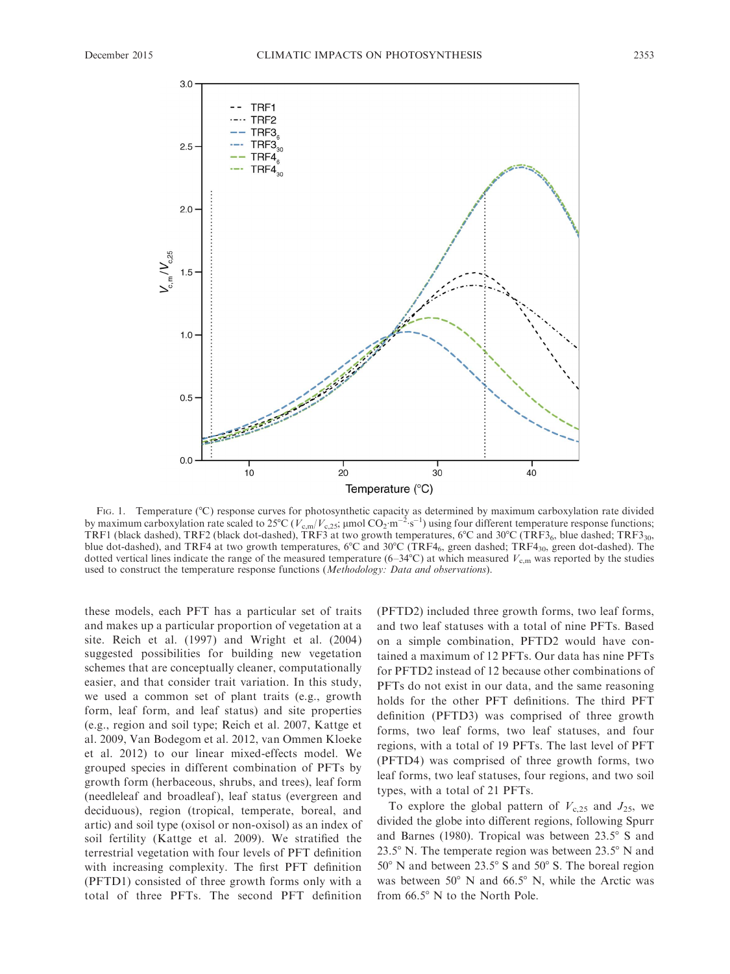

FIG. 1. Temperature (°C) response curves for photosynthetic capacity as determined by maximum carboxylation rate divided by maximum carboxylation rate scaled to 25°C ( $V_{c,m}/V_{c,25}$ ; µmol  $CO_2 \cdot m^{-2} \cdot s^{-1}$ ) using four different temperature response functions; TRF1 (black dashed), TRF2 (black dot-dashed), TRF3 at two growth temperatures,  $6^{\circ}$ C and  $30^{\circ}$ C (TRF3<sub>6</sub>, blue dashed; TRF3<sub>30</sub>, blue dot-dashed), and TRF4 at two growth temperatures,  $6^{\circ}$ C and  $30^{\circ}$ C (TRF4<sub>6</sub>, green dashed; TRF4<sub>30</sub>, green dot-dashed). The dotted vertical lines indicate the range of the measured temperature (6–34 $\degree$ C) at which measured  $V_{\text{c.m}}$  was reported by the studies used to construct the temperature response functions (Methodology: Data and observations).

these models, each PFT has a particular set of traits and makes up a particular proportion of vegetation at a site. Reich et al. (1997) and Wright et al. (2004) suggested possibilities for building new vegetation schemes that are conceptually cleaner, computationally easier, and that consider trait variation. In this study, we used a common set of plant traits (e.g., growth form, leaf form, and leaf status) and site properties (e.g., region and soil type; Reich et al. 2007, Kattge et al. 2009, Van Bodegom et al. 2012, van Ommen Kloeke et al. 2012) to our linear mixed-effects model. We grouped species in different combination of PFTs by growth form (herbaceous, shrubs, and trees), leaf form (needleleaf and broadleaf ), leaf status (evergreen and deciduous), region (tropical, temperate, boreal, and artic) and soil type (oxisol or non-oxisol) as an index of soil fertility (Kattge et al. 2009). We stratified the terrestrial vegetation with four levels of PFT definition with increasing complexity. The first PFT definition (PFTD1) consisted of three growth forms only with a total of three PFTs. The second PFT definition

(PFTD2) included three growth forms, two leaf forms, and two leaf statuses with a total of nine PFTs. Based on a simple combination, PFTD2 would have contained a maximum of 12 PFTs. Our data has nine PFTs for PFTD2 instead of 12 because other combinations of PFTs do not exist in our data, and the same reasoning holds for the other PFT definitions. The third PFT definition (PFTD3) was comprised of three growth forms, two leaf forms, two leaf statuses, and four regions, with a total of 19 PFTs. The last level of PFT (PFTD4) was comprised of three growth forms, two leaf forms, two leaf statuses, four regions, and two soil types, with a total of 21 PFTs.

To explore the global pattern of  $V_{c,25}$  and  $J_{25}$ , we divided the globe into different regions, following Spurr and Barnes (1980). Tropical was between  $23.5^{\circ}$  S and 23.5 $\degree$  N. The temperate region was between 23.5 $\degree$  N and  $50^{\circ}$  N and between 23.5° S and  $50^{\circ}$  S. The boreal region was between  $50^{\circ}$  N and  $66.5^{\circ}$  N, while the Arctic was from  $66.5^\circ$  N to the North Pole.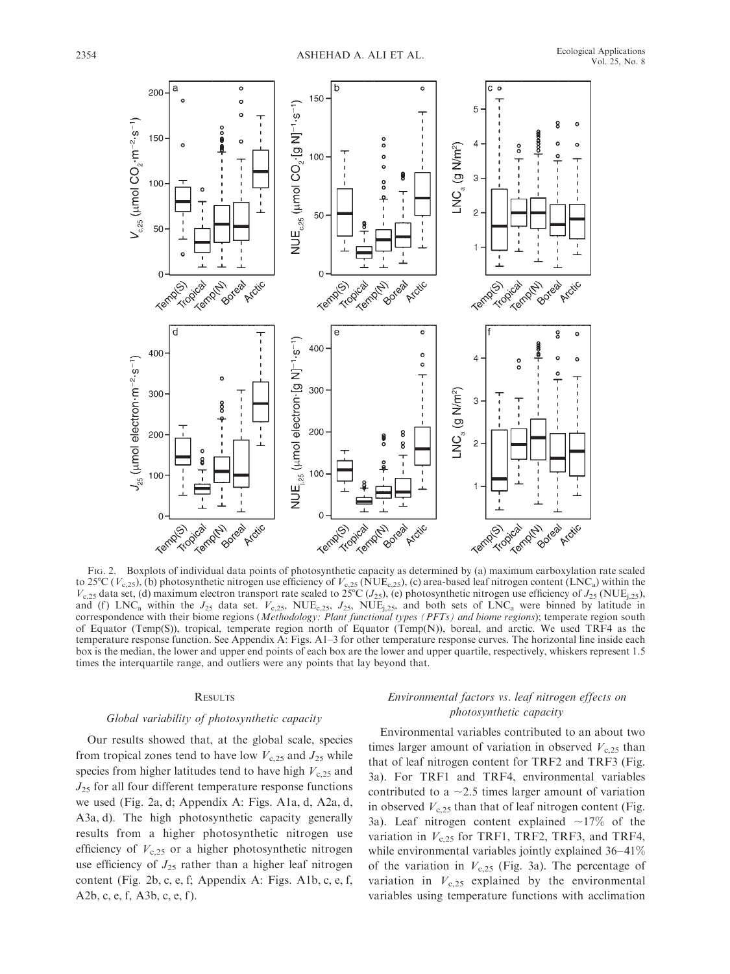

FIG. 2. Boxplots of individual data points of photosynthetic capacity as determined by (a) maximum carboxylation rate scaled to 25°C ( $V_{c,25}$ ), (b) photosynthetic nitrogen use efficiency of  $V_{c,25}$  (NUE<sub>c,25</sub>), (c) area-based leaf nitrogen content (LNC<sub>a</sub>) within the  $V_{c,25}$  data set, (d) maximum electron transport rate scaled to 25°C ( $J_{25}$ ), (e) photosynthetic nitrogen use efficiency of  $J_{25}$  (NUE<sub>i,25</sub>), and (f) LNC<sub>a</sub> within the  $J_{25}$  data set.  $V_{c,25}$ , NUE<sub>c,25</sub>,  $J_{25}$ , NUE<sub>j,25</sub>, and both sets of LNC<sub>a</sub> were binned by latitude in correspondence with their biome regions (Methodology: Plant functional types (PFTs) and biome regions); temperate region south of Equator (Temp(S)), tropical, temperate region north of Equator (Temp(N)), boreal, and arctic. We used TRF4 as the temperature response function. See Appendix A: Figs. A1–3 for other temperature response curves. The horizontal line inside each box is the median, the lower and upper end points of each box are the lower and upper quartile, respectively, whiskers represent 1.5 times the interquartile range, and outliers were any points that lay beyond that.

#### **RESULTS**

## Global variability of photosynthetic capacity

Our results showed that, at the global scale, species from tropical zones tend to have low  $V_{c,25}$  and  $J_{25}$  while species from higher latitudes tend to have high  $V<sub>c,25</sub>$  and  $J_{25}$  for all four different temperature response functions we used (Fig. 2a, d; Appendix A: Figs. A1a, d, A2a, d, A3a, d). The high photosynthetic capacity generally results from a higher photosynthetic nitrogen use efficiency of  $V_{c,25}$  or a higher photosynthetic nitrogen use efficiency of  $J_{25}$  rather than a higher leaf nitrogen content (Fig. 2b, c, e, f; Appendix A: Figs. A1b, c, e, f, A2b, c, e, f, A3b, c, e, f ).

# Environmental factors vs. leaf nitrogen effects on photosynthetic capacity

Environmental variables contributed to an about two times larger amount of variation in observed  $V<sub>c,25</sub>$  than that of leaf nitrogen content for TRF2 and TRF3 (Fig. 3a). For TRF1 and TRF4, environmental variables contributed to a  $\sim$ 2.5 times larger amount of variation in observed  $V<sub>c,25</sub>$  than that of leaf nitrogen content (Fig. 3a). Leaf nitrogen content explained  $\sim$ 17% of the variation in  $V_{c,25}$  for TRF1, TRF2, TRF3, and TRF4, while environmental variables jointly explained 36–41% of the variation in  $V_{c,25}$  (Fig. 3a). The percentage of variation in  $V_{c,25}$  explained by the environmental variables using temperature functions with acclimation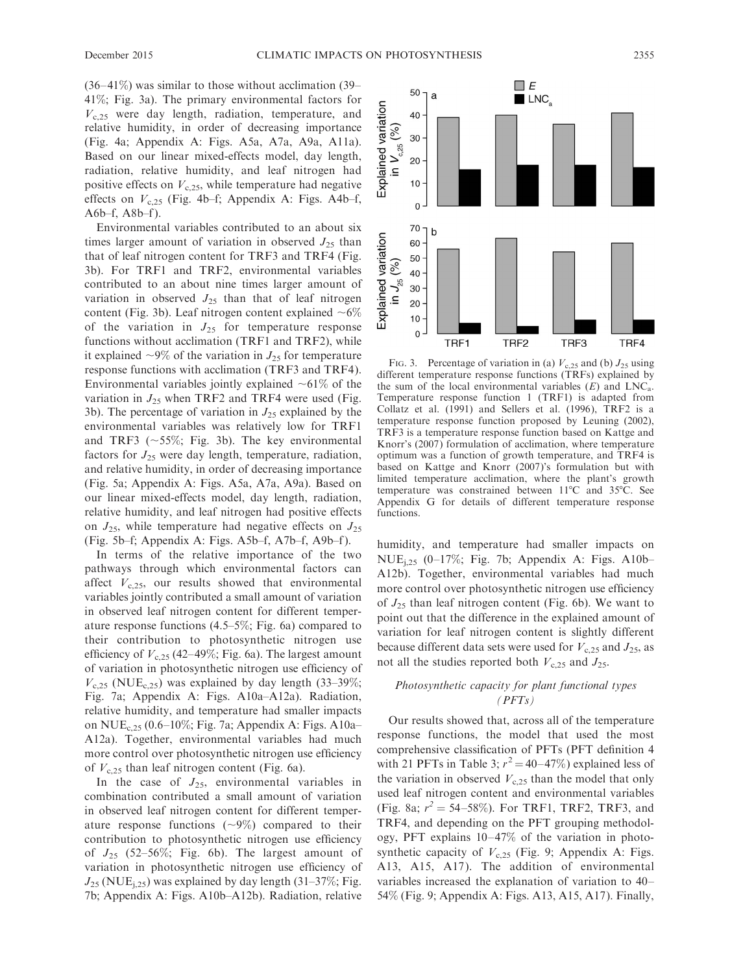(36–41%) was similar to those without acclimation (39– 41%; Fig. 3a). The primary environmental factors for  $V<sub>c,25</sub>$  were day length, radiation, temperature, and relative humidity, in order of decreasing importance (Fig. 4a; Appendix A: Figs. A5a, A7a, A9a, A11a). Based on our linear mixed-effects model, day length, radiation, relative humidity, and leaf nitrogen had positive effects on  $V<sub>c,25</sub>$ , while temperature had negative effects on  $V_{c,25}$  (Fig. 4b–f; Appendix A: Figs. A4b–f, A6 $b$ –f, A8 $b$ –f).

Environmental variables contributed to an about six times larger amount of variation in observed  $J_{25}$  than that of leaf nitrogen content for TRF3 and TRF4 (Fig. 3b). For TRF1 and TRF2, environmental variables contributed to an about nine times larger amount of variation in observed  $J_{25}$  than that of leaf nitrogen content (Fig. 3b). Leaf nitrogen content explained  $\sim 6\%$ of the variation in  $J_{25}$  for temperature response functions without acclimation (TRF1 and TRF2), while it explained  $\sim$ 9% of the variation in  $J_{25}$  for temperature response functions with acclimation (TRF3 and TRF4). Environmental variables jointly explained  $~1\%$  of the variation in  $J_{25}$  when TRF2 and TRF4 were used (Fig. 3b). The percentage of variation in  $J_{25}$  explained by the environmental variables was relatively low for TRF1 and TRF3 ( $\sim$ 55%; Fig. 3b). The key environmental factors for  $J_{25}$  were day length, temperature, radiation, and relative humidity, in order of decreasing importance (Fig. 5a; Appendix A: Figs. A5a, A7a, A9a). Based on our linear mixed-effects model, day length, radiation, relative humidity, and leaf nitrogen had positive effects on  $J_{25}$ , while temperature had negative effects on  $J_{25}$ (Fig. 5b–f; Appendix A: Figs. A5b–f, A7b–f, A9b–f ).

In terms of the relative importance of the two pathways through which environmental factors can affect  $V<sub>c.25</sub>$ , our results showed that environmental variables jointly contributed a small amount of variation in observed leaf nitrogen content for different temperature response functions (4.5–5%; Fig. 6a) compared to their contribution to photosynthetic nitrogen use efficiency of  $V_{c,25}$  (42–49%; Fig. 6a). The largest amount of variation in photosynthetic nitrogen use efficiency of  $V<sub>c,25</sub>$  (NUE<sub>c,25</sub>) was explained by day length (33–39%; Fig. 7a; Appendix A: Figs. A10a–A12a). Radiation, relative humidity, and temperature had smaller impacts on  $NUE_{c,25}$  (0.6–10%; Fig. 7a; Appendix A: Figs. A10a– A12a). Together, environmental variables had much more control over photosynthetic nitrogen use efficiency of  $V_{c,25}$  than leaf nitrogen content (Fig. 6a).

In the case of  $J_{25}$ , environmental variables in combination contributed a small amount of variation in observed leaf nitrogen content for different temperature response functions  $(\sim 9\%)$  compared to their contribution to photosynthetic nitrogen use efficiency of  $J_{25}$  (52–56%; Fig. 6b). The largest amount of variation in photosynthetic nitrogen use efficiency of  $J_{25}$  (NUE<sub>i,25</sub>) was explained by day length (31–37%; Fig. 7b; Appendix A: Figs. A10b–A12b). Radiation, relative



FIG. 3. Percentage of variation in (a)  $V<sub>c,25</sub>$  and (b)  $J<sub>25</sub>$  using different temperature response functions (TRFs) explained by the sum of the local environmental variables  $(E)$  and LNC<sub>a</sub>. Temperature response function 1 (TRF1) is adapted from Collatz et al. (1991) and Sellers et al. (1996), TRF2 is a temperature response function proposed by Leuning (2002), TRF3 is a temperature response function based on Kattge and Knorr's (2007) formulation of acclimation, where temperature optimum was a function of growth temperature, and TRF4 is based on Kattge and Knorr (2007)'s formulation but with limited temperature acclimation, where the plant's growth temperature was constrained between  $11^{\circ}$ C and  $35^{\circ}$ C. See Appendix G for details of different temperature response functions.

humidity, and temperature had smaller impacts on NUE<sub>i,25</sub> (0–17%; Fig. 7b; Appendix A: Figs. A10b– A12b). Together, environmental variables had much more control over photosynthetic nitrogen use efficiency of  $J_{25}$  than leaf nitrogen content (Fig. 6b). We want to point out that the difference in the explained amount of variation for leaf nitrogen content is slightly different because different data sets were used for  $V_{c,25}$  and  $J_{25}$ , as not all the studies reported both  $V<sub>c,25</sub>$  and  $J<sub>25</sub>$ .

# Photosynthetic capacity for plant functional types  $(PFTs)$

Our results showed that, across all of the temperature response functions, the model that used the most comprehensive classification of PFTs (PFT definition 4 with 21 PFTs in Table 3;  $r^2 = 40-47\%$ ) explained less of the variation in observed  $V_{c,25}$  than the model that only used leaf nitrogen content and environmental variables (Fig. 8a;  $r^2 = 54-58\%$ ). For TRF1, TRF2, TRF3, and TRF4, and depending on the PFT grouping methodology, PFT explains 10–47% of the variation in photosynthetic capacity of  $V_{c,25}$  (Fig. 9; Appendix A: Figs. A13, A15, A17). The addition of environmental variables increased the explanation of variation to 40– 54% (Fig. 9; Appendix A: Figs. A13, A15, A17). Finally,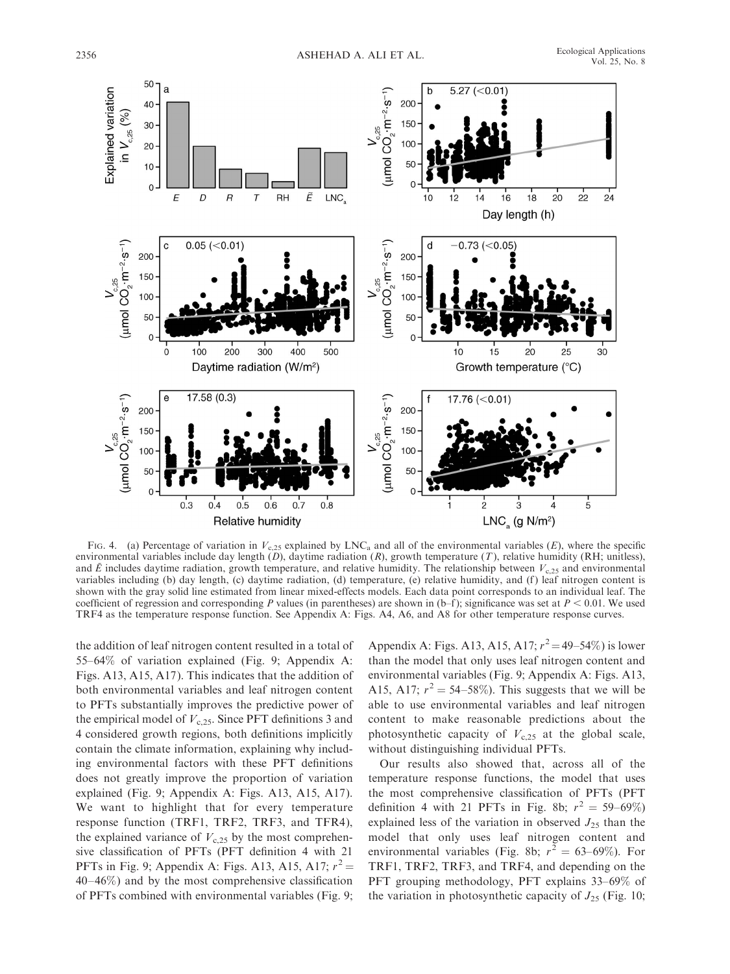

FIG. 4. (a) Percentage of variation in  $V_{c,25}$  explained by LNC<sub>a</sub> and all of the environmental variables (E), where the specific environmental variables include day length  $(D)$ , daytime radiation  $(R)$ , growth temperature  $(T)$ , relative humidity (RH; unitless), and  $\bar{E}$  includes daytime radiation, growth temperature, and relative humidity. The relationship between  $V_{c,25}$  and environmental variables including (b) day length, (c) daytime radiation, (d) temperature, (e) relative humidity, and (f ) leaf nitrogen content is shown with the gray solid line estimated from linear mixed-effects models. Each data point corresponds to an individual leaf. The coefficient of regression and corresponding P values (in parentheses) are shown in (b–f); significance was set at  $P < 0.01$ . We used TRF4 as the temperature response function. See Appendix A: Figs. A4, A6, and A8 for other temperature response curves.

the addition of leaf nitrogen content resulted in a total of 55–64% of variation explained (Fig. 9; Appendix A: Figs. A13, A15, A17). This indicates that the addition of both environmental variables and leaf nitrogen content to PFTs substantially improves the predictive power of the empirical model of  $V_{c,25}$ . Since PFT definitions 3 and 4 considered growth regions, both definitions implicitly contain the climate information, explaining why including environmental factors with these PFT definitions does not greatly improve the proportion of variation explained (Fig. 9; Appendix A: Figs. A13, A15, A17). We want to highlight that for every temperature response function (TRF1, TRF2, TRF3, and TFR4), the explained variance of  $V<sub>c,25</sub>$  by the most comprehensive classification of PFTs (PFT definition 4 with 21 PFTs in Fig. 9; Appendix A: Figs. A13, A15, A17;  $r^2$  = 40–46%) and by the most comprehensive classification of PFTs combined with environmental variables (Fig. 9;

Appendix A: Figs. A13, A15, A17;  $r^2 = 49 - 54\%$ ) is lower than the model that only uses leaf nitrogen content and environmental variables (Fig. 9; Appendix A: Figs. A13, A15, A17;  $r^2 = 54-58\%$ ). This suggests that we will be able to use environmental variables and leaf nitrogen content to make reasonable predictions about the photosynthetic capacity of  $V_{c,25}$  at the global scale, without distinguishing individual PFTs.

Our results also showed that, across all of the temperature response functions, the model that uses the most comprehensive classification of PFTs (PFT definition 4 with 21 PFTs in Fig. 8b;  $r^2 = 59{\text -}69\%$ ) explained less of the variation in observed  $J_{25}$  than the model that only uses leaf nitrogen content and environmental variables (Fig. 8b;  $r^2 = 63{\text -}69\%$ ). For TRF1, TRF2, TRF3, and TRF4, and depending on the PFT grouping methodology, PFT explains 33–69% of the variation in photosynthetic capacity of  $J_{25}$  (Fig. 10;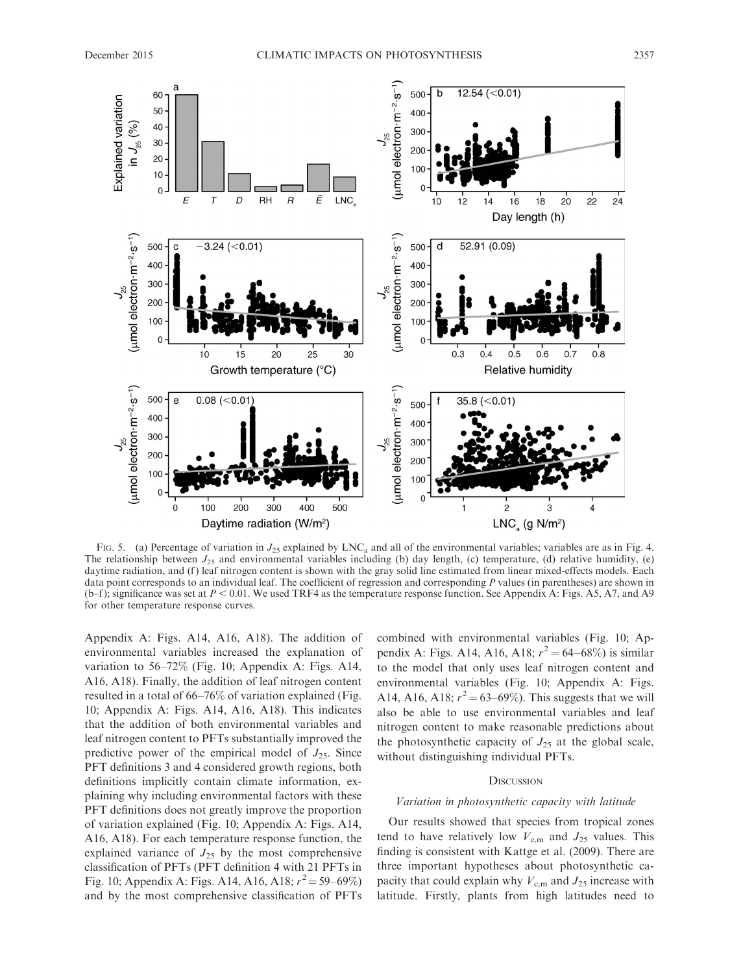

FIG. 5. (a) Percentage of variation in  $J_{25}$  explained by LNC<sub>a</sub> and all of the environmental variables; variables are as in Fig. 4. The relationship between  $J_{25}$  and environmental variables including (b) day length, (c) temperature, (d) relative humidity, (e) daytime radiation, and (f) leaf nitrogen content is shown with the gray solid line estimated from linear mixed-effects models. Each data point corresponds to an individual leaf. The coefficient of regression and corresponding  $P$  values (in parentheses) are shown in (b–f); significance was set at  $P < 0.01$ . We used TRF4 as the temperature response function. See Appendix A: Figs. A5, A7, and A9 for other temperature response curves.

Appendix A: Figs. A14, A16, A18). The addition of environmental variables increased the explanation of variation to 56–72% (Fig. 10; Appendix A: Figs. A14, A16, A18). Finally, the addition of leaf nitrogen content resulted in a total of 66–76% of variation explained (Fig. 10; Appendix A: Figs. A14, A16, A18). This indicates that the addition of both environmental variables and leaf nitrogen content to PFTs substantially improved the predictive power of the empirical model of  $J_{25}$ . Since PFT definitions 3 and 4 considered growth regions, both definitions implicitly contain climate information, explaining why including environmental factors with these PFT definitions does not greatly improve the proportion of variation explained (Fig. 10; Appendix A: Figs. A14, A16, A18). For each temperature response function, the explained variance of  $J_{25}$  by the most comprehensive classification of PFTs (PFT definition 4 with 21 PFTs in Fig. 10; Appendix A: Figs. A14, A16, A18;  $r^2 = 59 - 69\%$ ) and by the most comprehensive classification of PFTs combined with environmental variables (Fig. 10; Appendix A: Figs. A14, A16, A18;  $r^2 = 64-68\%$ ) is similar to the model that only uses leaf nitrogen content and environmental variables (Fig. 10; Appendix A: Figs. A14, A16, A18;  $r^2 = 63 - 69\%$ ). This suggests that we will also be able to use environmental variables and leaf nitrogen content to make reasonable predictions about the photosynthetic capacity of  $J_{25}$  at the global scale, without distinguishing individual PFTs.

## **DISCUSSION**

#### Variation in photosynthetic capacity with latitude

Our results showed that species from tropical zones tend to have relatively low  $V_{\text{c.m}}$  and  $J_{25}$  values. This finding is consistent with Kattge et al. (2009). There are three important hypotheses about photosynthetic capacity that could explain why  $V_{c,m}$  and  $J_{25}$  increase with latitude. Firstly, plants from high latitudes need to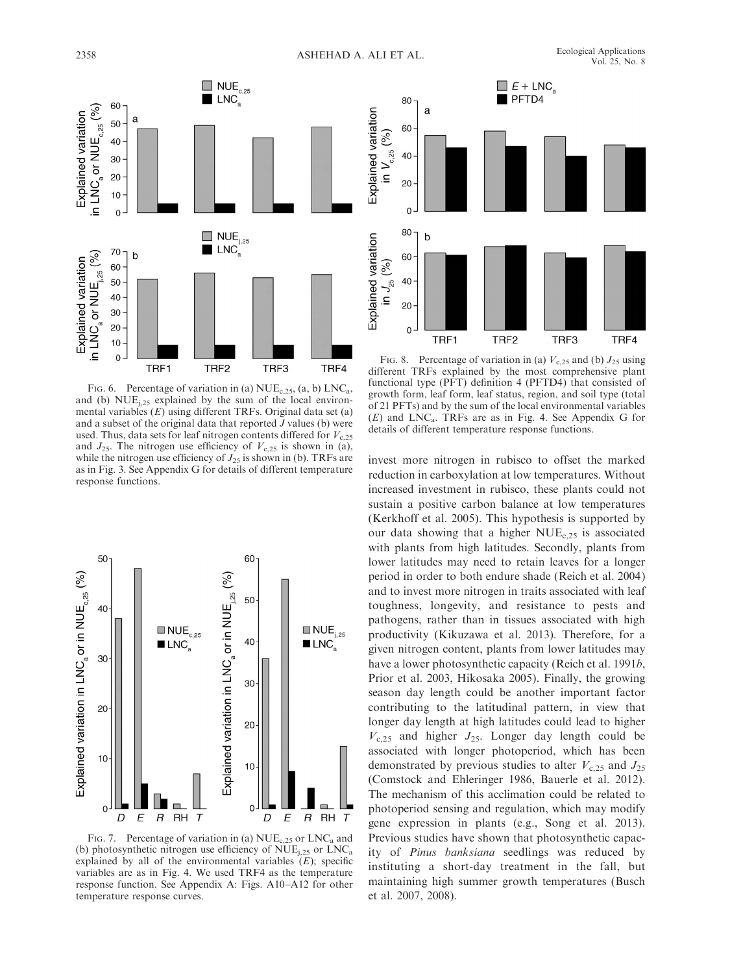

FIG. 6. Percentage of variation in (a)  $NUE_{c,25}$ , (a, b)  $LNC_a$ , and (b)  $NUE<sub>i,25</sub>$  explained by the sum of the local environmental variables  $(E)$  using different TRFs. Original data set  $(a)$ and a subset of the original data that reported  $J$  values (b) were used. Thus, data sets for leaf nitrogen contents differed for  $V_{c,25}$ and  $J_{25}$ . The nitrogen use efficiency of  $V_{c,25}$  is shown in (a), while the nitrogen use efficiency of  $J_{25}$  is shown in (b). TRFs are as in Fig. 3. See Appendix G for details of different temperature response functions.



FIG. 7. Percentage of variation in (a)  $NUE_{c,25}$  or  $LNC_a$  and (b) photosynthetic nitrogen use efficiency of  $NUE_{i,25}$  or  $LNC_a$ explained by all of the environmental variables  $(E)$ ; specific variables are as in Fig. 4. We used TRF4 as the temperature response function. See Appendix A: Figs. A10–A12 for other temperature response curves.



FIG. 8. Percentage of variation in (a)  $V_{c,25}$  and (b)  $J_{25}$  using different TRFs explained by the most comprehensive plant functional type (PFT) definition 4 (PFTD4) that consisted of growth form, leaf form, leaf status, region, and soil type (total of 21 PFTs) and by the sum of the local environmental variables  $(E)$  and LNC<sub>a</sub>. TRFs are as in Fig. 4. See Appendix G for details of different temperature response functions.

invest more nitrogen in rubisco to offset the marked reduction in carboxylation at low temperatures. Without increased investment in rubisco, these plants could not sustain a positive carbon balance at low temperatures (Kerkhoff et al. 2005). This hypothesis is supported by our data showing that a higher  $NUE_{c,25}$  is associated with plants from high latitudes. Secondly, plants from lower latitudes may need to retain leaves for a longer period in order to both endure shade (Reich et al. 2004) and to invest more nitrogen in traits associated with leaf toughness, longevity, and resistance to pests and pathogens, rather than in tissues associated with high productivity (Kikuzawa et al. 2013). Therefore, for a given nitrogen content, plants from lower latitudes may have a lower photosynthetic capacity (Reich et al. 1991b, Prior et al. 2003, Hikosaka 2005). Finally, the growing season day length could be another important factor contributing to the latitudinal pattern, in view that longer day length at high latitudes could lead to higher  $V_{c,25}$  and higher  $J_{25}$ . Longer day length could be associated with longer photoperiod, which has been demonstrated by previous studies to alter  $V_{c,25}$  and  $J_{25}$ (Comstock and Ehleringer 1986, Bauerle et al. 2012). The mechanism of this acclimation could be related to photoperiod sensing and regulation, which may modify gene expression in plants (e.g., Song et al. 2013). Previous studies have shown that photosynthetic capacity of Pinus banksiana seedlings was reduced by instituting a short-day treatment in the fall, but maintaining high summer growth temperatures (Busch et al. 2007, 2008).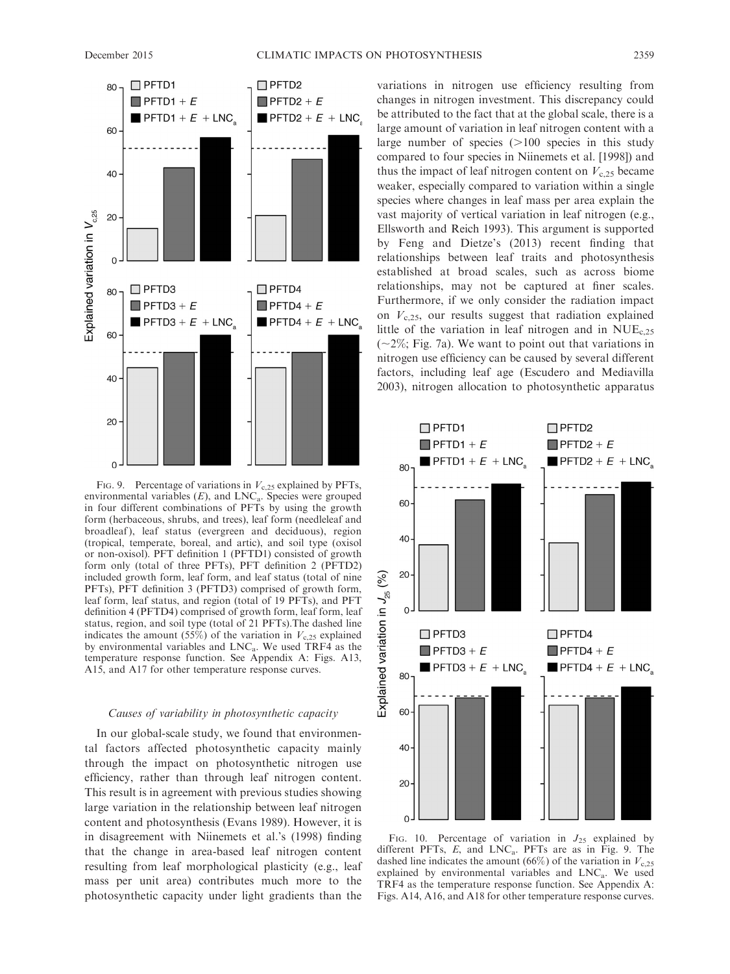Explained variation in  $V_{c,25}$ 

20

 $\Omega$ 



FIG. 9. Percentage of variations in  $V_{c,25}$  explained by PFTs, environmental variables  $(E)$ , and  $LNC_a$ . Species were grouped in four different combinations of PFTs by using the growth form (herbaceous, shrubs, and trees), leaf form (needleleaf and broadleaf), leaf status (evergreen and deciduous), region (tropical, temperate, boreal, and artic), and soil type (oxisol or non-oxisol). PFT definition 1 (PFTD1) consisted of growth form only (total of three PFTs), PFT definition 2 (PFTD2) included growth form, leaf form, and leaf status (total of nine PFTs), PFT definition 3 (PFTD3) comprised of growth form, leaf form, leaf status, and region (total of 19 PFTs), and PFT definition 4 (PFTD4) comprised of growth form, leaf form, leaf status, region, and soil type (total of 21 PFTs).The dashed line indicates the amount (55%) of the variation in  $V<sub>c,25</sub>$  explained by environmental variables and LNCa. We used TRF4 as the temperature response function. See Appendix A: Figs. A13, A15, and A17 for other temperature response curves.

# Causes of variability in photosynthetic capacity

In our global-scale study, we found that environmental factors affected photosynthetic capacity mainly through the impact on photosynthetic nitrogen use efficiency, rather than through leaf nitrogen content. This result is in agreement with previous studies showing large variation in the relationship between leaf nitrogen content and photosynthesis (Evans 1989). However, it is in disagreement with Niinemets et al.'s (1998) finding that the change in area-based leaf nitrogen content resulting from leaf morphological plasticity (e.g., leaf mass per unit area) contributes much more to the photosynthetic capacity under light gradients than the variations in nitrogen use efficiency resulting from changes in nitrogen investment. This discrepancy could be attributed to the fact that at the global scale, there is a large amount of variation in leaf nitrogen content with a large number of species  $(>100$  species in this study compared to four species in Niinemets et al. [1998]) and thus the impact of leaf nitrogen content on  $V<sub>c,25</sub>$  became weaker, especially compared to variation within a single species where changes in leaf mass per area explain the vast majority of vertical variation in leaf nitrogen (e.g., Ellsworth and Reich 1993). This argument is supported by Feng and Dietze's (2013) recent finding that relationships between leaf traits and photosynthesis established at broad scales, such as across biome relationships, may not be captured at finer scales. Furthermore, if we only consider the radiation impact on  $V_{c,25}$ , our results suggest that radiation explained little of the variation in leaf nitrogen and in NUEc,25  $(-2\%; Fig. 7a)$ . We want to point out that variations in nitrogen use efficiency can be caused by several different factors, including leaf age (Escudero and Mediavilla 2003), nitrogen allocation to photosynthetic apparatus



FIG. 10. Percentage of variation in  $J_{25}$  explained by different PFTs,  $E$ , and  $LNC<sub>a</sub>$ . PFTs are as in Fig. 9. The dashed line indicates the amount (66%) of the variation in  $V_{c,25}$ explained by environmental variables and  $LNC<sub>a</sub>$ . We used TRF4 as the temperature response function. See Appendix A: Figs. A14, A16, and A18 for other temperature response curves.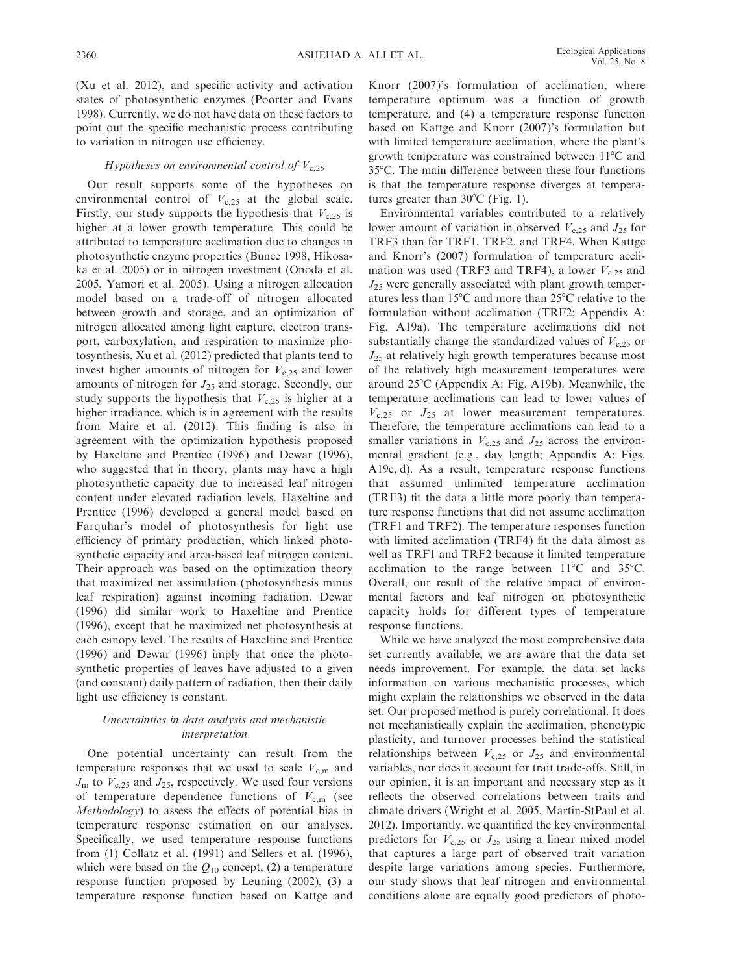(Xu et al. 2012), and specific activity and activation states of photosynthetic enzymes (Poorter and Evans 1998). Currently, we do not have data on these factors to point out the specific mechanistic process contributing to variation in nitrogen use efficiency.

## Hypotheses on environmental control of  $V<sub>c.25</sub>$

Our result supports some of the hypotheses on environmental control of  $V<sub>c,25</sub>$  at the global scale. Firstly, our study supports the hypothesis that  $V_{c,25}$  is higher at a lower growth temperature. This could be attributed to temperature acclimation due to changes in photosynthetic enzyme properties (Bunce 1998, Hikosaka et al. 2005) or in nitrogen investment (Onoda et al. 2005, Yamori et al. 2005). Using a nitrogen allocation model based on a trade-off of nitrogen allocated between growth and storage, and an optimization of nitrogen allocated among light capture, electron transport, carboxylation, and respiration to maximize photosynthesis, Xu et al. (2012) predicted that plants tend to invest higher amounts of nitrogen for  $V<sub>c,25</sub>$  and lower amounts of nitrogen for  $J_{25}$  and storage. Secondly, our study supports the hypothesis that  $V_{c,25}$  is higher at a higher irradiance, which is in agreement with the results from Maire et al. (2012). This finding is also in agreement with the optimization hypothesis proposed by Haxeltine and Prentice (1996) and Dewar (1996), who suggested that in theory, plants may have a high photosynthetic capacity due to increased leaf nitrogen content under elevated radiation levels. Haxeltine and Prentice (1996) developed a general model based on Farquhar's model of photosynthesis for light use efficiency of primary production, which linked photosynthetic capacity and area-based leaf nitrogen content. Their approach was based on the optimization theory that maximized net assimilation (photosynthesis minus leaf respiration) against incoming radiation. Dewar (1996) did similar work to Haxeltine and Prentice (1996), except that he maximized net photosynthesis at each canopy level. The results of Haxeltine and Prentice (1996) and Dewar (1996) imply that once the photosynthetic properties of leaves have adjusted to a given (and constant) daily pattern of radiation, then their daily light use efficiency is constant.

# Uncertainties in data analysis and mechanistic interpretation

One potential uncertainty can result from the temperature responses that we used to scale  $V_{c,m}$  and  $J_{\rm m}$  to  $V_{\rm c,25}$  and  $J_{25}$ , respectively. We used four versions of temperature dependence functions of  $V_{\text{c.m}}$  (see Methodology) to assess the effects of potential bias in temperature response estimation on our analyses. Specifically, we used temperature response functions from (1) Collatz et al. (1991) and Sellers et al. (1996), which were based on the  $Q_{10}$  concept, (2) a temperature response function proposed by Leuning (2002), (3) a temperature response function based on Kattge and Knorr (2007)'s formulation of acclimation, where temperature optimum was a function of growth temperature, and (4) a temperature response function based on Kattge and Knorr (2007)'s formulation but with limited temperature acclimation, where the plant's growth temperature was constrained between  $11^{\circ}$ C and 35°C. The main difference between these four functions is that the temperature response diverges at temperatures greater than  $30^{\circ}$ C (Fig. 1).

Environmental variables contributed to a relatively lower amount of variation in observed  $V<sub>c,25</sub>$  and  $J<sub>25</sub>$  for TRF3 than for TRF1, TRF2, and TRF4. When Kattge and Knorr's (2007) formulation of temperature acclimation was used (TRF3 and TRF4), a lower  $V_{c,25}$  and  $J_{25}$  were generally associated with plant growth temperatures less than 15°C and more than 25°C relative to the formulation without acclimation (TRF2; Appendix A: Fig. A19a). The temperature acclimations did not substantially change the standardized values of  $V_{c,25}$  or  $J_{25}$  at relatively high growth temperatures because most of the relatively high measurement temperatures were around  $25^{\circ}$ C (Appendix A: Fig. A19b). Meanwhile, the temperature acclimations can lead to lower values of  $V_{c,25}$  or  $J_{25}$  at lower measurement temperatures. Therefore, the temperature acclimations can lead to a smaller variations in  $V_{c,25}$  and  $J_{25}$  across the environmental gradient (e.g., day length; Appendix A: Figs. A19c, d). As a result, temperature response functions that assumed unlimited temperature acclimation (TRF3) fit the data a little more poorly than temperature response functions that did not assume acclimation (TRF1 and TRF2). The temperature responses function with limited acclimation (TRF4) fit the data almost as well as TRF1 and TRF2 because it limited temperature acclimation to the range between  $11^{\circ}$ C and  $35^{\circ}$ C. Overall, our result of the relative impact of environmental factors and leaf nitrogen on photosynthetic capacity holds for different types of temperature response functions.

While we have analyzed the most comprehensive data set currently available, we are aware that the data set needs improvement. For example, the data set lacks information on various mechanistic processes, which might explain the relationships we observed in the data set. Our proposed method is purely correlational. It does not mechanistically explain the acclimation, phenotypic plasticity, and turnover processes behind the statistical relationships between  $V_{c,25}$  or  $J_{25}$  and environmental variables, nor does it account for trait trade-offs. Still, in our opinion, it is an important and necessary step as it reflects the observed correlations between traits and climate drivers (Wright et al. 2005, Martin-StPaul et al. 2012). Importantly, we quantified the key environmental predictors for  $V_{c,25}$  or  $J_{25}$  using a linear mixed model that captures a large part of observed trait variation despite large variations among species. Furthermore, our study shows that leaf nitrogen and environmental conditions alone are equally good predictors of photo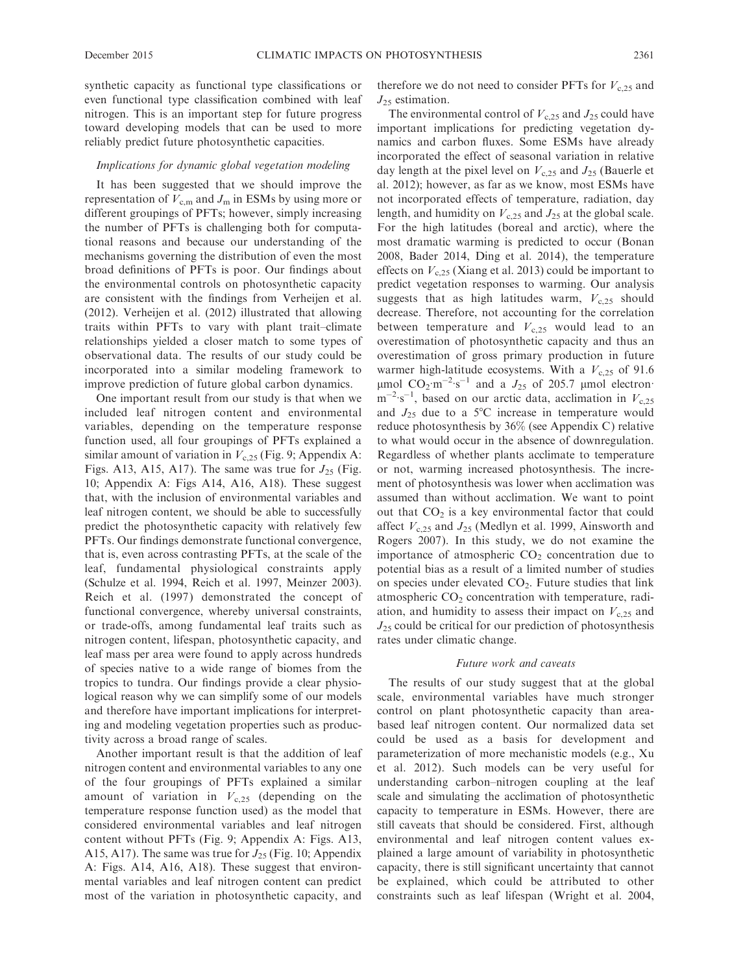synthetic capacity as functional type classifications or even functional type classification combined with leaf nitrogen. This is an important step for future progress toward developing models that can be used to more reliably predict future photosynthetic capacities.

## Implications for dynamic global vegetation modeling

It has been suggested that we should improve the representation of  $V_{c,m}$  and  $J_m$  in ESMs by using more or different groupings of PFTs; however, simply increasing the number of PFTs is challenging both for computational reasons and because our understanding of the mechanisms governing the distribution of even the most broad definitions of PFTs is poor. Our findings about the environmental controls on photosynthetic capacity are consistent with the findings from Verheijen et al. (2012). Verheijen et al. (2012) illustrated that allowing traits within PFTs to vary with plant trait–climate relationships yielded a closer match to some types of observational data. The results of our study could be incorporated into a similar modeling framework to improve prediction of future global carbon dynamics.

One important result from our study is that when we included leaf nitrogen content and environmental variables, depending on the temperature response function used, all four groupings of PFTs explained a similar amount of variation in  $V_{c,25}$  (Fig. 9; Appendix A: Figs. A13, A15, A17). The same was true for  $J_{25}$  (Fig. 10; Appendix A: Figs A14, A16, A18). These suggest that, with the inclusion of environmental variables and leaf nitrogen content, we should be able to successfully predict the photosynthetic capacity with relatively few PFTs. Our findings demonstrate functional convergence, that is, even across contrasting PFTs, at the scale of the leaf, fundamental physiological constraints apply (Schulze et al. 1994, Reich et al. 1997, Meinzer 2003). Reich et al. (1997) demonstrated the concept of functional convergence, whereby universal constraints, or trade-offs, among fundamental leaf traits such as nitrogen content, lifespan, photosynthetic capacity, and leaf mass per area were found to apply across hundreds of species native to a wide range of biomes from the tropics to tundra. Our findings provide a clear physiological reason why we can simplify some of our models and therefore have important implications for interpreting and modeling vegetation properties such as productivity across a broad range of scales.

Another important result is that the addition of leaf nitrogen content and environmental variables to any one of the four groupings of PFTs explained a similar amount of variation in  $V_{c,25}$  (depending on the temperature response function used) as the model that considered environmental variables and leaf nitrogen content without PFTs (Fig. 9; Appendix A: Figs. A13, A15, A17). The same was true for  $J_{25}$  (Fig. 10; Appendix A: Figs. A14, A16, A18). These suggest that environmental variables and leaf nitrogen content can predict most of the variation in photosynthetic capacity, and

therefore we do not need to consider PFTs for  $V<sub>c.25</sub>$  and  $J_{25}$  estimation.

The environmental control of  $V_{c,25}$  and  $J_{25}$  could have important implications for predicting vegetation dynamics and carbon fluxes. Some ESMs have already incorporated the effect of seasonal variation in relative day length at the pixel level on  $V_{c,25}$  and  $J_{25}$  (Bauerle et al. 2012); however, as far as we know, most ESMs have not incorporated effects of temperature, radiation, day length, and humidity on  $V_{c,25}$  and  $J_{25}$  at the global scale. For the high latitudes (boreal and arctic), where the most dramatic warming is predicted to occur (Bonan 2008, Bader 2014, Ding et al. 2014), the temperature effects on  $V_{c,25}$  (Xiang et al. 2013) could be important to predict vegetation responses to warming. Our analysis suggests that as high latitudes warm,  $V<sub>c,25</sub>$  should decrease. Therefore, not accounting for the correlation between temperature and  $V_{c,25}$  would lead to an overestimation of photosynthetic capacity and thus an overestimation of gross primary production in future warmer high-latitude ecosystems. With a  $V_{c,25}$  of 91.6  $\mu$ mol CO<sub>2</sub>·m<sup>-2</sup>·s<sup>-1</sup> and a  $J_{25}$  of 205.7  $\mu$ mol electron·  $\text{m}^{-2} \cdot \text{s}^{-1}$ , based on our arctic data, acclimation in  $V_{c,25}$ and  $J_{25}$  due to a 5°C increase in temperature would reduce photosynthesis by 36% (see Appendix C) relative to what would occur in the absence of downregulation. Regardless of whether plants acclimate to temperature or not, warming increased photosynthesis. The increment of photosynthesis was lower when acclimation was assumed than without acclimation. We want to point out that  $CO<sub>2</sub>$  is a key environmental factor that could affect  $V_{c,25}$  and  $J_{25}$  (Medlyn et al. 1999, Ainsworth and Rogers 2007). In this study, we do not examine the importance of atmospheric  $CO<sub>2</sub>$  concentration due to potential bias as a result of a limited number of studies on species under elevated  $CO<sub>2</sub>$ . Future studies that link atmospheric  $CO<sub>2</sub>$  concentration with temperature, radiation, and humidity to assess their impact on  $V_{c,25}$  and  $J_{25}$  could be critical for our prediction of photosynthesis rates under climatic change.

#### Future work and caveats

The results of our study suggest that at the global scale, environmental variables have much stronger control on plant photosynthetic capacity than areabased leaf nitrogen content. Our normalized data set could be used as a basis for development and parameterization of more mechanistic models (e.g., Xu et al. 2012). Such models can be very useful for understanding carbon–nitrogen coupling at the leaf scale and simulating the acclimation of photosynthetic capacity to temperature in ESMs. However, there are still caveats that should be considered. First, although environmental and leaf nitrogen content values explained a large amount of variability in photosynthetic capacity, there is still significant uncertainty that cannot be explained, which could be attributed to other constraints such as leaf lifespan (Wright et al. 2004,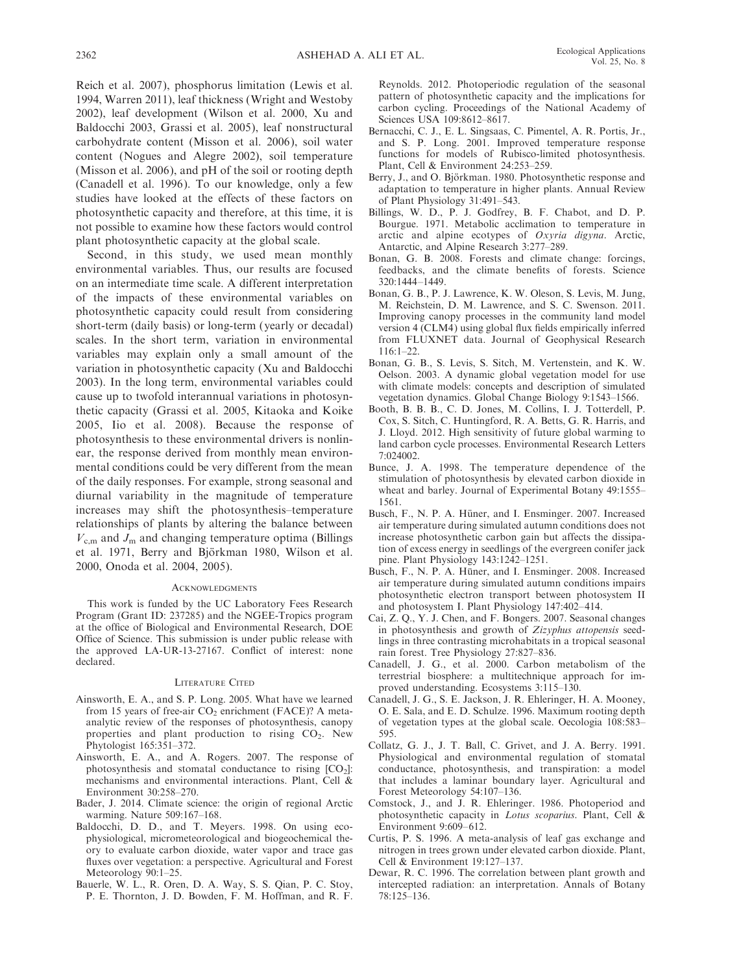Reich et al. 2007), phosphorus limitation (Lewis et al. 1994, Warren 2011), leaf thickness (Wright and Westoby 2002), leaf development (Wilson et al. 2000, Xu and Baldocchi 2003, Grassi et al. 2005), leaf nonstructural carbohydrate content (Misson et al. 2006), soil water content (Nogues and Alegre 2002), soil temperature (Misson et al. 2006), and pH of the soil or rooting depth (Canadell et al. 1996). To our knowledge, only a few studies have looked at the effects of these factors on photosynthetic capacity and therefore, at this time, it is not possible to examine how these factors would control plant photosynthetic capacity at the global scale.

Second, in this study, we used mean monthly environmental variables. Thus, our results are focused on an intermediate time scale. A different interpretation of the impacts of these environmental variables on photosynthetic capacity could result from considering short-term (daily basis) or long-term (yearly or decadal) scales. In the short term, variation in environmental variables may explain only a small amount of the variation in photosynthetic capacity (Xu and Baldocchi 2003). In the long term, environmental variables could cause up to twofold interannual variations in photosynthetic capacity (Grassi et al. 2005, Kitaoka and Koike 2005, Iio et al. 2008). Because the response of photosynthesis to these environmental drivers is nonlinear, the response derived from monthly mean environmental conditions could be very different from the mean of the daily responses. For example, strong seasonal and diurnal variability in the magnitude of temperature increases may shift the photosynthesis–temperature relationships of plants by altering the balance between  $V_{\rm c,m}$  and  $J_{\rm m}$  and changing temperature optima (Billings et al. 1971, Berry and Björkman 1980, Wilson et al. 2000, Onoda et al. 2004, 2005).

#### **ACKNOWLEDGMENTS**

This work is funded by the UC Laboratory Fees Research Program (Grant ID: 237285) and the NGEE-Tropics program at the office of Biological and Environmental Research, DOE Office of Science. This submission is under public release with the approved LA-UR-13-27167. Conflict of interest: none declared.

#### LITERATURE CITED

- Ainsworth, E. A., and S. P. Long. 2005. What have we learned from 15 years of free-air CO<sub>2</sub> enrichment (FACE)? A metaanalytic review of the responses of photosynthesis, canopy properties and plant production to rising  $CO<sub>2</sub>$ . New Phytologist 165:351–372.
- Ainsworth, E. A., and A. Rogers. 2007. The response of photosynthesis and stomatal conductance to rising  $[CO<sub>2</sub>]$ : mechanisms and environmental interactions. Plant, Cell & Environment 30:258–270.
- Bader, J. 2014. Climate science: the origin of regional Arctic warming. Nature 509:167–168.
- Baldocchi, D. D., and T. Meyers. 1998. On using ecophysiological, micrometeorological and biogeochemical theory to evaluate carbon dioxide, water vapor and trace gas fluxes over vegetation: a perspective. Agricultural and Forest Meteorology 90:1–25.
- Bauerle, W. L., R. Oren, D. A. Way, S. S. Qian, P. C. Stoy, P. E. Thornton, J. D. Bowden, F. M. Hoffman, and R. F.

Reynolds. 2012. Photoperiodic regulation of the seasonal pattern of photosynthetic capacity and the implications for carbon cycling. Proceedings of the National Academy of Sciences USA 109:8612–8617.

- Bernacchi, C. J., E. L. Singsaas, C. Pimentel, A. R. Portis, Jr., and S. P. Long. 2001. Improved temperature response functions for models of Rubisco-limited photosynthesis. Plant, Cell & Environment 24:253–259.
- Berry, J., and O. Björkman. 1980. Photosynthetic response and adaptation to temperature in higher plants. Annual Review of Plant Physiology 31:491–543.
- Billings, W. D., P. J. Godfrey, B. F. Chabot, and D. P. Bourgue. 1971. Metabolic acclimation to temperature in arctic and alpine ecotypes of Oxyria digyna. Arctic, Antarctic, and Alpine Research 3:277–289.
- Bonan, G. B. 2008. Forests and climate change: forcings, feedbacks, and the climate benefits of forests. Science 320:1444–1449.
- Bonan, G. B., P. J. Lawrence, K. W. Oleson, S. Levis, M. Jung, M. Reichstein, D. M. Lawrence, and S. C. Swenson. 2011. Improving canopy processes in the community land model version 4 (CLM4) using global flux fields empirically inferred from FLUXNET data. Journal of Geophysical Research 116:1–22.
- Bonan, G. B., S. Levis, S. Sitch, M. Vertenstein, and K. W. Oelson. 2003. A dynamic global vegetation model for use with climate models: concepts and description of simulated vegetation dynamics. Global Change Biology 9:1543–1566.
- Booth, B. B. B., C. D. Jones, M. Collins, I. J. Totterdell, P. Cox, S. Sitch, C. Huntingford, R. A. Betts, G. R. Harris, and J. Lloyd. 2012. High sensitivity of future global warming to land carbon cycle processes. Environmental Research Letters 7:024002.
- Bunce, J. A. 1998. The temperature dependence of the stimulation of photosynthesis by elevated carbon dioxide in wheat and barley. Journal of Experimental Botany 49:1555– 1561.
- Busch, F., N. P. A. Hüner, and I. Ensminger. 2007. Increased air temperature during simulated autumn conditions does not increase photosynthetic carbon gain but affects the dissipation of excess energy in seedlings of the evergreen conifer jack pine. Plant Physiology 143:1242–1251.
- Busch, F., N. P. A. Hüner, and I. Ensminger. 2008. Increased air temperature during simulated autumn conditions impairs photosynthetic electron transport between photosystem II and photosystem I. Plant Physiology 147:402–414.
- Cai, Z. Q., Y. J. Chen, and F. Bongers. 2007. Seasonal changes in photosynthesis and growth of Zizyphus attopensis seedlings in three contrasting microhabitats in a tropical seasonal rain forest. Tree Physiology 27:827–836.
- Canadell, J. G., et al. 2000. Carbon metabolism of the terrestrial biosphere: a multitechnique approach for improved understanding. Ecosystems 3:115–130.
- Canadell, J. G., S. E. Jackson, J. R. Ehleringer, H. A. Mooney, O. E. Sala, and E. D. Schulze. 1996. Maximum rooting depth of vegetation types at the global scale. Oecologia 108:583– 595.
- Collatz, G. J., J. T. Ball, C. Grivet, and J. A. Berry. 1991. Physiological and environmental regulation of stomatal conductance, photosynthesis, and transpiration: a model that includes a laminar boundary layer. Agricultural and Forest Meteorology 54:107–136.
- Comstock, J., and J. R. Ehleringer. 1986. Photoperiod and photosynthetic capacity in Lotus scoparius. Plant, Cell & Environment 9:609–612.
- Curtis, P. S. 1996. A meta-analysis of leaf gas exchange and nitrogen in trees grown under elevated carbon dioxide. Plant, Cell & Environment 19:127–137.
- Dewar, R. C. 1996. The correlation between plant growth and intercepted radiation: an interpretation. Annals of Botany 78:125–136.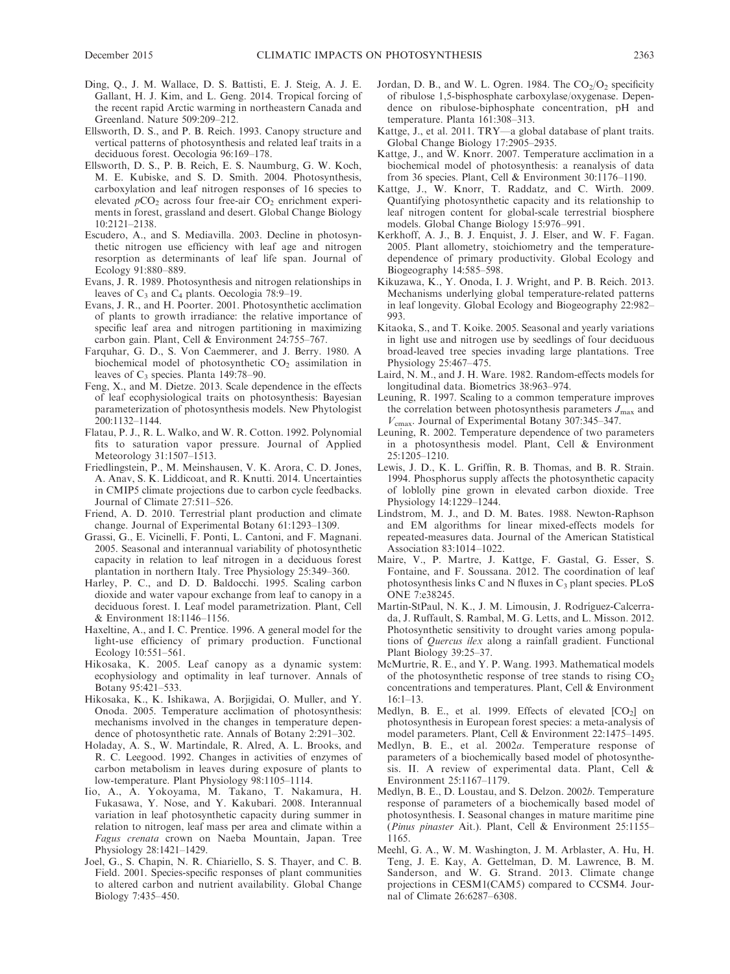- Ding, Q., J. M. Wallace, D. S. Battisti, E. J. Steig, A. J. E. Gallant, H. J. Kim, and L. Geng. 2014. Tropical forcing of the recent rapid Arctic warming in northeastern Canada and Greenland. Nature 509:209–212.
- Ellsworth, D. S., and P. B. Reich. 1993. Canopy structure and vertical patterns of photosynthesis and related leaf traits in a deciduous forest. Oecologia 96:169–178.
- Ellsworth, D. S., P. B. Reich, E. S. Naumburg, G. W. Koch, M. E. Kubiske, and S. D. Smith. 2004. Photosynthesis, carboxylation and leaf nitrogen responses of 16 species to elevated  $pCO<sub>2</sub>$  across four free-air  $CO<sub>2</sub>$  enrichment experiments in forest, grassland and desert. Global Change Biology 10:2121–2138.
- Escudero, A., and S. Mediavilla. 2003. Decline in photosynthetic nitrogen use efficiency with leaf age and nitrogen resorption as determinants of leaf life span. Journal of Ecology 91:880–889.
- Evans, J. R. 1989. Photosynthesis and nitrogen relationships in leaves of  $C_3$  and  $C_4$  plants. Oecologia 78:9–19.
- Evans, J. R., and H. Poorter. 2001. Photosynthetic acclimation of plants to growth irradiance: the relative importance of specific leaf area and nitrogen partitioning in maximizing carbon gain. Plant, Cell & Environment 24:755–767.
- Farquhar, G. D., S. Von Caemmerer, and J. Berry. 1980. A biochemical model of photosynthetic  $CO<sub>2</sub>$  assimilation in leaves of  $C_3$  species. Planta 149:78–90.
- Feng, X., and M. Dietze. 2013. Scale dependence in the effects of leaf ecophysiological traits on photosynthesis: Bayesian parameterization of photosynthesis models. New Phytologist 200:1132–1144.
- Flatau, P. J., R. L. Walko, and W. R. Cotton. 1992. Polynomial fits to saturation vapor pressure. Journal of Applied Meteorology 31:1507–1513.
- Friedlingstein, P., M. Meinshausen, V. K. Arora, C. D. Jones, A. Anav, S. K. Liddicoat, and R. Knutti. 2014. Uncertainties in CMIP5 climate projections due to carbon cycle feedbacks. Journal of Climate 27:511–526.
- Friend, A. D. 2010. Terrestrial plant production and climate change. Journal of Experimental Botany 61:1293–1309.
- Grassi, G., E. Vicinelli, F. Ponti, L. Cantoni, and F. Magnani. 2005. Seasonal and interannual variability of photosynthetic capacity in relation to leaf nitrogen in a deciduous forest plantation in northern Italy. Tree Physiology 25:349–360.
- Harley, P. C., and D. D. Baldocchi. 1995. Scaling carbon dioxide and water vapour exchange from leaf to canopy in a deciduous forest. I. Leaf model parametrization. Plant, Cell & Environment 18:1146–1156.
- Haxeltine, A., and I. C. Prentice. 1996. A general model for the light-use efficiency of primary production. Functional Ecology 10:551–561.
- Hikosaka, K. 2005. Leaf canopy as a dynamic system: ecophysiology and optimality in leaf turnover. Annals of Botany 95:421–533.
- Hikosaka, K., K. Ishikawa, A. Borjigidai, O. Muller, and Y. Onoda. 2005. Temperature acclimation of photosynthesis: mechanisms involved in the changes in temperature dependence of photosynthetic rate. Annals of Botany 2:291–302.
- Holaday, A. S., W. Martindale, R. Alred, A. L. Brooks, and R. C. Leegood. 1992. Changes in activities of enzymes of carbon metabolism in leaves during exposure of plants to low-temperature. Plant Physiology 98:1105–1114.
- Iio, A., A. Yokoyama, M. Takano, T. Nakamura, H. Fukasawa, Y. Nose, and Y. Kakubari. 2008. Interannual variation in leaf photosynthetic capacity during summer in relation to nitrogen, leaf mass per area and climate within a Fagus crenata crown on Naeba Mountain, Japan. Tree Physiology 28:1421–1429.
- Joel, G., S. Chapin, N. R. Chiariello, S. S. Thayer, and C. B. Field. 2001. Species-specific responses of plant communities to altered carbon and nutrient availability. Global Change Biology 7:435–450.
- Jordan, D. B., and W. L. Ogren. 1984. The  $CO<sub>2</sub>/O<sub>2</sub>$  specificity of ribulose 1,5-bisphosphate carboxylase/oxygenase. Dependence on ribulose-biphosphate concentration, pH and temperature. Planta 161:308–313.
- Kattge, J., et al. 2011. TRY—a global database of plant traits. Global Change Biology 17:2905–2935.
- Kattge, J., and W. Knorr. 2007. Temperature acclimation in a biochemical model of photosynthesis: a reanalysis of data from 36 species. Plant, Cell & Environment 30:1176–1190.
- Kattge, J., W. Knorr, T. Raddatz, and C. Wirth. 2009. Quantifying photosynthetic capacity and its relationship to leaf nitrogen content for global-scale terrestrial biosphere models. Global Change Biology 15:976–991.
- Kerkhoff, A. J., B. J. Enquist, J. J. Elser, and W. F. Fagan. 2005. Plant allometry, stoichiometry and the temperaturedependence of primary productivity. Global Ecology and Biogeography 14:585–598.
- Kikuzawa, K., Y. Onoda, I. J. Wright, and P. B. Reich. 2013. Mechanisms underlying global temperature-related patterns in leaf longevity. Global Ecology and Biogeography 22:982– 993.
- Kitaoka, S., and T. Koike. 2005. Seasonal and yearly variations in light use and nitrogen use by seedlings of four deciduous broad-leaved tree species invading large plantations. Tree Physiology 25:467–475.
- Laird, N. M., and J. H. Ware. 1982. Random-effects models for longitudinal data. Biometrics 38:963–974.
- Leuning, R. 1997. Scaling to a common temperature improves the correlation between photosynthesis parameters  $J_{\text{max}}$  and  $V_{\text{cmax}}$ . Journal of Experimental Botany 307:345–347.
- Leuning, R. 2002. Temperature dependence of two parameters in a photosynthesis model. Plant, Cell & Environment 25:1205–1210.
- Lewis, J. D., K. L. Griffin, R. B. Thomas, and B. R. Strain. 1994. Phosphorus supply affects the photosynthetic capacity of loblolly pine grown in elevated carbon dioxide. Tree Physiology 14:1229–1244.
- Lindstrom, M. J., and D. M. Bates. 1988. Newton-Raphson and EM algorithms for linear mixed-effects models for repeated-measures data. Journal of the American Statistical Association 83:1014–1022.
- Maire, V., P. Martre, J. Kattge, F. Gastal, G. Esser, S. Fontaine, and F. Soussana. 2012. The coordination of leaf photosynthesis links C and N fluxes in  $C_3$  plant species. PLoS ONE 7:e38245.
- Martin-StPaul, N. K., J. M. Limousin, J. Rodríguez-Calcerrada, J. Ruffault, S. Rambal, M. G. Letts, and L. Misson. 2012. Photosynthetic sensitivity to drought varies among populations of Quercus ilex along a rainfall gradient. Functional Plant Biology 39:25–37.
- McMurtrie, R. E., and Y. P. Wang. 1993. Mathematical models of the photosynthetic response of tree stands to rising  $CO<sub>2</sub>$ concentrations and temperatures. Plant, Cell & Environment  $16:1-13$ .
- Medlyn, B. E., et al. 1999. Effects of elevated  $[CO<sub>2</sub>]$  on photosynthesis in European forest species: a meta-analysis of model parameters. Plant, Cell & Environment 22:1475–1495.
- Medlyn, B. E., et al. 2002a. Temperature response of parameters of a biochemically based model of photosynthesis. II. A review of experimental data. Plant, Cell & Environment 25:1167–1179.
- Medlyn, B. E., D. Loustau, and S. Delzon. 2002b. Temperature response of parameters of a biochemically based model of photosynthesis. I. Seasonal changes in mature maritime pine (Pinus pinaster Ait.). Plant, Cell & Environment 25:1155– 1165.
- Meehl, G. A., W. M. Washington, J. M. Arblaster, A. Hu, H. Teng, J. E. Kay, A. Gettelman, D. M. Lawrence, B. M. Sanderson, and W. G. Strand. 2013. Climate change projections in CESM1(CAM5) compared to CCSM4. Journal of Climate 26:6287–6308.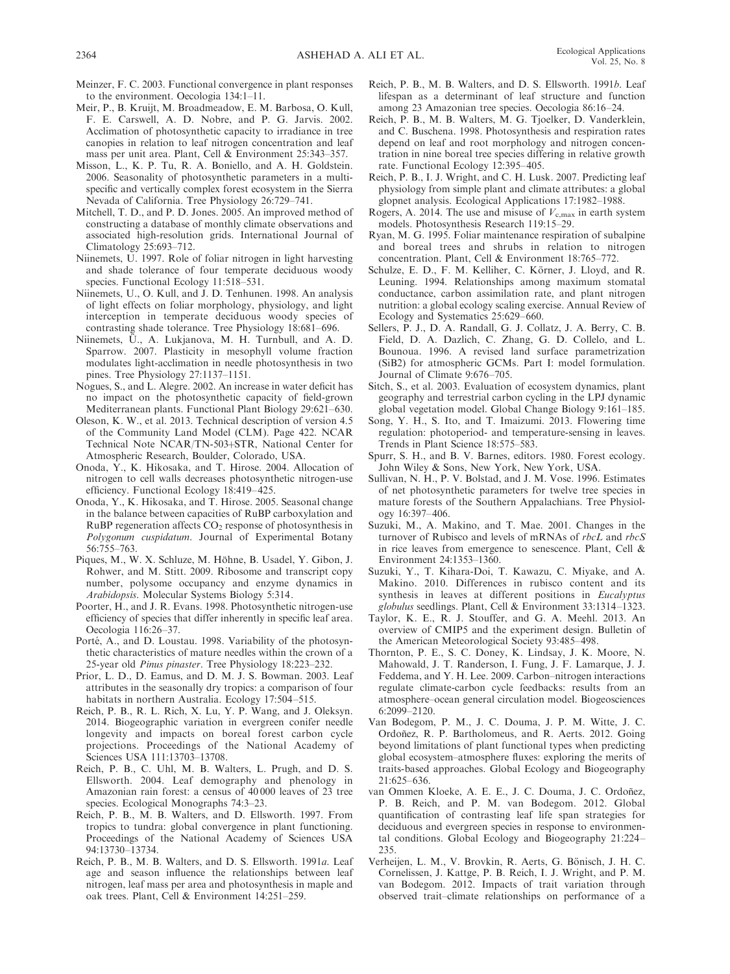- Meinzer, F. C. 2003. Functional convergence in plant responses to the environment. Oecologia 134:1–11.
- Meir, P., B. Kruijt, M. Broadmeadow, E. M. Barbosa, O. Kull, F. E. Carswell, A. D. Nobre, and P. G. Jarvis. 2002. Acclimation of photosynthetic capacity to irradiance in tree canopies in relation to leaf nitrogen concentration and leaf mass per unit area. Plant, Cell & Environment 25:343–357.
- Misson, L., K. P. Tu, R. A. Boniello, and A. H. Goldstein. 2006. Seasonality of photosynthetic parameters in a multispecific and vertically complex forest ecosystem in the Sierra Nevada of California. Tree Physiology 26:729–741.
- Mitchell, T. D., and P. D. Jones. 2005. An improved method of constructing a database of monthly climate observations and associated high-resolution grids. International Journal of Climatology 25:693–712.
- Niinemets, U. 1997. Role of foliar nitrogen in light harvesting and shade tolerance of four temperate deciduous woody species. Functional Ecology 11:518–531.
- Niinemets, U., O. Kull, and J. D. Tenhunen. 1998. An analysis of light effects on foliar morphology, physiology, and light interception in temperate deciduous woody species of contrasting shade tolerance. Tree Physiology 18:681–696.
- Niinemets, U., A. Lukjanova, M. H. Turnbull, and A. D. Sparrow. 2007. Plasticity in mesophyll volume fraction modulates light-acclimation in needle photosynthesis in two pines. Tree Physiology 27:1137–1151.
- Nogues, S., and L. Alegre. 2002. An increase in water deficit has no impact on the photosynthetic capacity of field-grown Mediterranean plants. Functional Plant Biology 29:621–630.
- Oleson, K. W., et al. 2013. Technical description of version 4.5 of the Community Land Model (CLM). Page 422. NCAR Technical Note NCAR/TN-503+STR, National Center for Atmospheric Research, Boulder, Colorado, USA.
- Onoda, Y., K. Hikosaka, and T. Hirose. 2004. Allocation of nitrogen to cell walls decreases photosynthetic nitrogen-use efficiency. Functional Ecology 18:419–425.
- Onoda, Y., K. Hikosaka, and T. Hirose. 2005. Seasonal change in the balance between capacities of RuBP carboxylation and RuBP regeneration affects  $CO<sub>2</sub>$  response of photosynthesis in Polygonum cuspidatum. Journal of Experimental Botany 56:755–763.
- Piques, M., W. X. Schluze, M. Höhne, B. Usadel, Y. Gibon, J. Rohwer, and M. Stitt. 2009. Ribosome and transcript copy number, polysome occupancy and enzyme dynamics in Arabidopsis. Molecular Systems Biology 5:314.
- Poorter, H., and J. R. Evans. 1998. Photosynthetic nitrogen-use efficiency of species that differ inherently in specific leaf area. Oecologia 116:26–37.
- Porté, A., and D. Loustau. 1998. Variability of the photosynthetic characteristics of mature needles within the crown of a 25-year old Pinus pinaster. Tree Physiology 18:223–232.
- Prior, L. D., D. Eamus, and D. M. J. S. Bowman. 2003. Leaf attributes in the seasonally dry tropics: a comparison of four habitats in northern Australia. Ecology 17:504–515.
- Reich, P. B., R. L. Rich, X. Lu, Y. P. Wang, and J. Oleksyn. 2014. Biogeographic variation in evergreen conifer needle longevity and impacts on boreal forest carbon cycle projections. Proceedings of the National Academy of Sciences USA 111:13703–13708.
- Reich, P. B., C. Uhl, M. B. Walters, L. Prugh, and D. S. Ellsworth. 2004. Leaf demography and phenology in Amazonian rain forest: a census of 40 000 leaves of 23 tree species. Ecological Monographs 74:3–23.
- Reich, P. B., M. B. Walters, and D. Ellsworth. 1997. From tropics to tundra: global convergence in plant functioning. Proceedings of the National Academy of Sciences USA 94:13730–13734.
- Reich, P. B., M. B. Walters, and D. S. Ellsworth. 1991a. Leaf age and season influence the relationships between leaf nitrogen, leaf mass per area and photosynthesis in maple and oak trees. Plant, Cell & Environment 14:251–259.
- Reich, P. B., M. B. Walters, and D. S. Ellsworth. 1991b. Leaf lifespan as a determinant of leaf structure and function among 23 Amazonian tree species. Oecologia 86:16–24.
- Reich, P. B., M. B. Walters, M. G. Tjoelker, D. Vanderklein, and C. Buschena. 1998. Photosynthesis and respiration rates depend on leaf and root morphology and nitrogen concentration in nine boreal tree species differing in relative growth rate. Functional Ecology 12:395–405.
- Reich, P. B., I. J. Wright, and C. H. Lusk. 2007. Predicting leaf physiology from simple plant and climate attributes: a global glopnet analysis. Ecological Applications 17:1982–1988.
- Rogers, A. 2014. The use and misuse of  $V_{c,max}$  in earth system models. Photosynthesis Research 119:15–29.
- Ryan, M. G. 1995. Foliar maintenance respiration of subalpine and boreal trees and shrubs in relation to nitrogen concentration. Plant, Cell & Environment 18:765–772.
- Schulze, E. D., F. M. Kelliher, C. Körner, J. Lloyd, and R. Leuning. 1994. Relationships among maximum stomatal conductance, carbon assimilation rate, and plant nitrogen nutrition: a global ecology scaling exercise. Annual Review of Ecology and Systematics 25:629–660.
- Sellers, P. J., D. A. Randall, G. J. Collatz, J. A. Berry, C. B. Field, D. A. Dazlich, C. Zhang, G. D. Collelo, and L. Bounoua. 1996. A revised land surface parametrization (SiB2) for atmospheric GCMs. Part I: model formulation. Journal of Climate 9:676–705.
- Sitch, S., et al. 2003. Evaluation of ecosystem dynamics, plant geography and terrestrial carbon cycling in the LPJ dynamic global vegetation model. Global Change Biology 9:161–185.
- Song, Y. H., S. Ito, and T. Imaizumi. 2013. Flowering time regulation: photoperiod- and temperature-sensing in leaves. Trends in Plant Science 18:575–583.
- Spurr, S. H., and B. V. Barnes, editors. 1980. Forest ecology. John Wiley & Sons, New York, New York, USA.
- Sullivan, N. H., P. V. Bolstad, and J. M. Vose. 1996. Estimates of net photosynthetic parameters for twelve tree species in mature forests of the Southern Appalachians. Tree Physiology 16:397–406.
- Suzuki, M., A. Makino, and T. Mae. 2001. Changes in the turnover of Rubisco and levels of mRNAs of rbcL and rbcS in rice leaves from emergence to senescence. Plant, Cell & Environment 24:1353–1360.
- Suzuki, Y., T. Kihara-Doi, T. Kawazu, C. Miyake, and A. Makino. 2010. Differences in rubisco content and its synthesis in leaves at different positions in Eucalyptus globulus seedlings. Plant, Cell & Environment 33:1314–1323.
- Taylor, K. E., R. J. Stouffer, and G. A. Meehl. 2013. An overview of CMIP5 and the experiment design. Bulletin of the American Meteorological Society 93:485–498.
- Thornton, P. E., S. C. Doney, K. Lindsay, J. K. Moore, N. Mahowald, J. T. Randerson, I. Fung, J. F. Lamarque, J. J. Feddema, and Y. H. Lee. 2009. Carbon–nitrogen interactions regulate climate-carbon cycle feedbacks: results from an atmosphere–ocean general circulation model. Biogeosciences 6:2099–2120.
- Van Bodegom, P. M., J. C. Douma, J. P. M. Witte, J. C. Ordoñez, R. P. Bartholomeus, and R. Aerts. 2012. Going beyond limitations of plant functional types when predicting global ecosystem–atmosphere fluxes: exploring the merits of traits-based approaches. Global Ecology and Biogeography 21:625–636.
- van Ommen Kloeke, A. E. E., J. C. Douma, J. C. Ordoñez, P. B. Reich, and P. M. van Bodegom. 2012. Global quantification of contrasting leaf life span strategies for deciduous and evergreen species in response to environmental conditions. Global Ecology and Biogeography 21:224– 235.
- Verheijen, L. M., V. Brovkin, R. Aerts, G. Bönisch, J. H. C. Cornelissen, J. Kattge, P. B. Reich, I. J. Wright, and P. M. van Bodegom. 2012. Impacts of trait variation through observed trait–climate relationships on performance of a